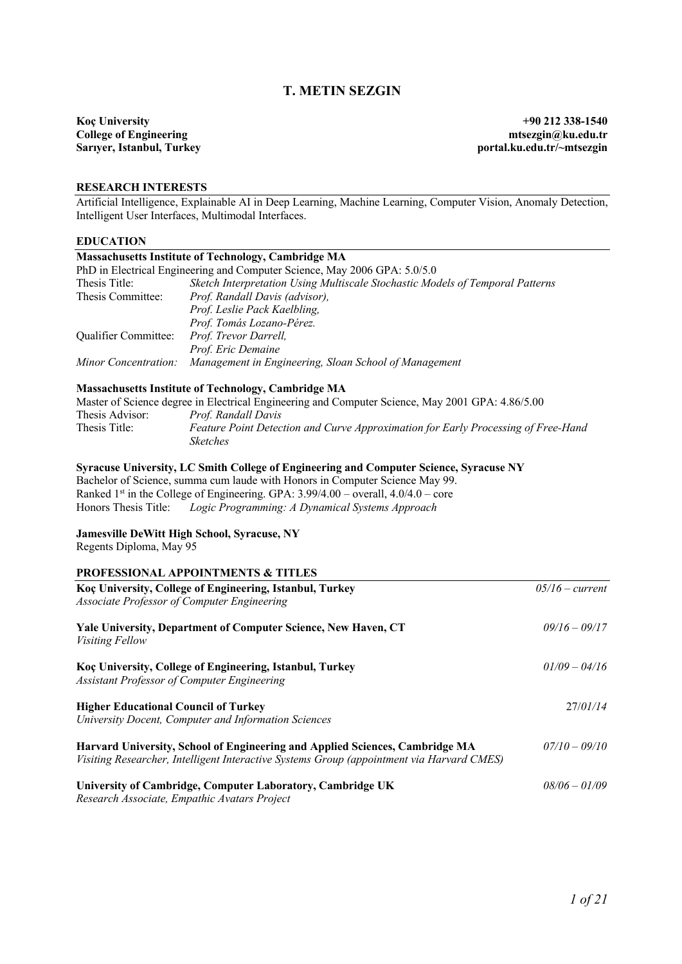# **T. METIN SEZGIN**

**Koç University** +90 212 **338-1540**<br> **College of Engineering the state of Engineering the state of Engineering the State of Engineering state of Engineering the State of Engineering state of Engineering state of Engineerin College of Engineering<br>Sariver, Istanbul, Turkey** 

portal.ku.edu.tr/~mtsezgin

### **RESEARCH INTERESTS**

Artificial Intelligence, Explainable AI in Deep Learning, Machine Learning, Computer Vision, Anomaly Detection, Intelligent User Interfaces, Multimodal Interfaces.

## **EDUCATION**

|                                                    | <b>Massachusetts Institute of Technology, Cambridge MA</b>                                                                                                                                                                                                                                                                      |                   |
|----------------------------------------------------|---------------------------------------------------------------------------------------------------------------------------------------------------------------------------------------------------------------------------------------------------------------------------------------------------------------------------------|-------------------|
|                                                    | PhD in Electrical Engineering and Computer Science, May 2006 GPA: 5.0/5.0                                                                                                                                                                                                                                                       |                   |
| Thesis Title:                                      | Sketch Interpretation Using Multiscale Stochastic Models of Temporal Patterns                                                                                                                                                                                                                                                   |                   |
| Thesis Committee:                                  | Prof. Randall Davis (advisor),                                                                                                                                                                                                                                                                                                  |                   |
|                                                    | Prof. Leslie Pack Kaelbling,                                                                                                                                                                                                                                                                                                    |                   |
|                                                    | Prof. Tomás Lozano-Pérez.                                                                                                                                                                                                                                                                                                       |                   |
| Qualifier Committee:                               | Prof. Trevor Darrell,                                                                                                                                                                                                                                                                                                           |                   |
|                                                    | Prof. Eric Demaine                                                                                                                                                                                                                                                                                                              |                   |
| Minor Concentration:                               | Management in Engineering, Sloan School of Management                                                                                                                                                                                                                                                                           |                   |
|                                                    | <b>Massachusetts Institute of Technology, Cambridge MA</b>                                                                                                                                                                                                                                                                      |                   |
|                                                    | Master of Science degree in Electrical Engineering and Computer Science, May 2001 GPA: 4.86/5.00                                                                                                                                                                                                                                |                   |
| Thesis Advisor:                                    | Prof. Randall Davis                                                                                                                                                                                                                                                                                                             |                   |
| Thesis Title:                                      | Feature Point Detection and Curve Approximation for Early Processing of Free-Hand                                                                                                                                                                                                                                               |                   |
|                                                    | <b>Sketches</b>                                                                                                                                                                                                                                                                                                                 |                   |
| Honors Thesis Title:                               | Syracuse University, LC Smith College of Engineering and Computer Science, Syracuse NY<br>Bachelor of Science, summa cum laude with Honors in Computer Science May 99.<br>Ranked 1 <sup>st</sup> in the College of Engineering. GPA: $3.99/4.00$ – overall, $4.0/4.0$ – core<br>Logic Programming: A Dynamical Systems Approach |                   |
| Regents Diploma, May 95                            | Jamesville DeWitt High School, Syracuse, NY                                                                                                                                                                                                                                                                                     |                   |
|                                                    | <b>PROFESSIONAL APPOINTMENTS &amp; TITLES</b>                                                                                                                                                                                                                                                                                   |                   |
|                                                    | Koç University, College of Engineering, Istanbul, Turkey                                                                                                                                                                                                                                                                        | $05/16$ – current |
| <b>Associate Professor of Computer Engineering</b> |                                                                                                                                                                                                                                                                                                                                 |                   |
| <b>Visiting Fellow</b>                             | Yale University, Department of Computer Science, New Haven, CT                                                                                                                                                                                                                                                                  | $09/16 - 09/17$   |
| Assistant Professor of Computer Engineering        | Koç University, College of Engineering, Istanbul, Turkey                                                                                                                                                                                                                                                                        | $01/09 - 04/16$   |
| <b>Higher Educational Council of Turkey</b>        |                                                                                                                                                                                                                                                                                                                                 | 27/01/14          |
|                                                    | University Docent, Computer and Information Sciences                                                                                                                                                                                                                                                                            |                   |
|                                                    | Harvard University, School of Engineering and Applied Sciences, Cambridge MA<br>Visiting Researcher, Intelligent Interactive Systems Group (appointment via Harvard CMES)                                                                                                                                                       | $07/10 - 09/10$   |
|                                                    | University of Cambridge, Computer Laboratory, Cambridge UK<br>Research Associate, Empathic Avatars Project                                                                                                                                                                                                                      | $08/06 - 01/09$   |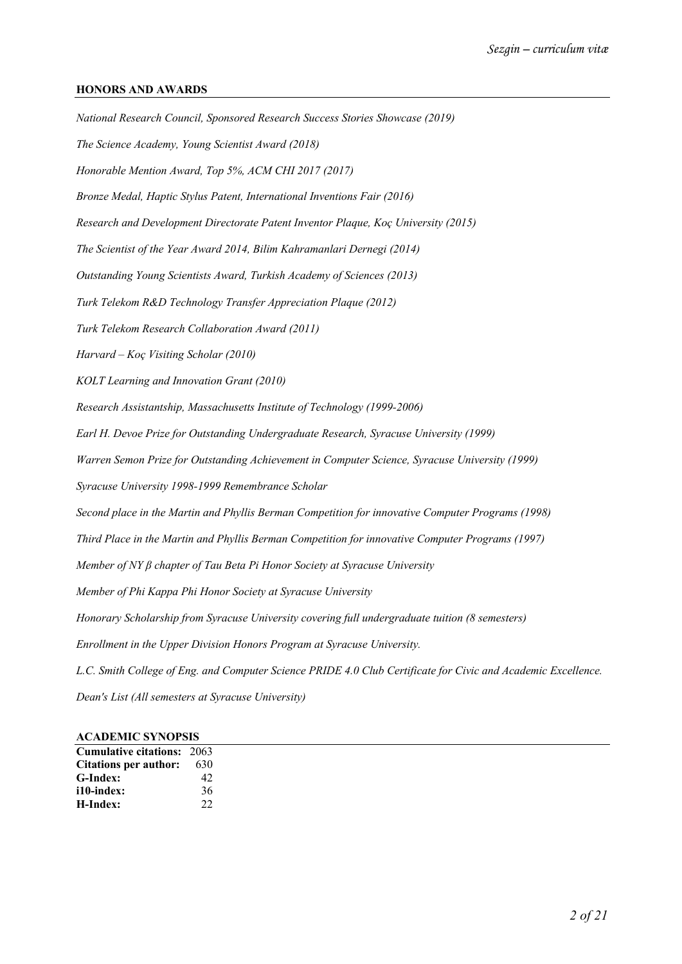# **HONORS AND AWARDS**

*National Research Council, Sponsored Research Success Stories Showcase (2019) The Science Academy, Young Scientist Award (2018) Honorable Mention Award, Top 5%, ACM CHI 2017 (2017) Bronze Medal, Haptic Stylus Patent, International Inventions Fair (2016) Research and Development Directorate Patent Inventor Plaque, Koç University (2015) The Scientist of the Year Award 2014, Bilim Kahramanlari Dernegi (2014) Outstanding Young Scientists Award, Turkish Academy of Sciences (2013) Turk Telekom R&D Technology Transfer Appreciation Plaque (2012) Turk Telekom Research Collaboration Award (2011) Harvard – Koç Visiting Scholar (2010) KOLT Learning and Innovation Grant (2010) Research Assistantship, Massachusetts Institute of Technology (1999-2006) Earl H. Devoe Prize for Outstanding Undergraduate Research, Syracuse University (1999) Warren Semon Prize for Outstanding Achievement in Computer Science, Syracuse University (1999) Syracuse University 1998-1999 Remembrance Scholar Second place in the Martin and Phyllis Berman Competition for innovative Computer Programs (1998) Third Place in the Martin and Phyllis Berman Competition for innovative Computer Programs (1997) Member of NY β chapter of Tau Beta Pi Honor Society at Syracuse University Member of Phi Kappa Phi Honor Society at Syracuse University Honorary Scholarship from Syracuse University covering full undergraduate tuition (8 semesters) Enrollment in the Upper Division Honors Program at Syracuse University. L.C. Smith College of Eng. and Computer Science PRIDE 4.0 Club Certificate for Civic and Academic Excellence. Dean's List (All semesters at Syracuse University)*

| <b>ACADEMIC SYNOPSIS</b> |  |
|--------------------------|--|
|--------------------------|--|

| <b>Cumulative citations: 2063</b> |     |
|-----------------------------------|-----|
| Citations per author:             | 630 |
| G-Index:                          | 42  |
| i10-index:                        | 36  |
| H-Index:                          | 22  |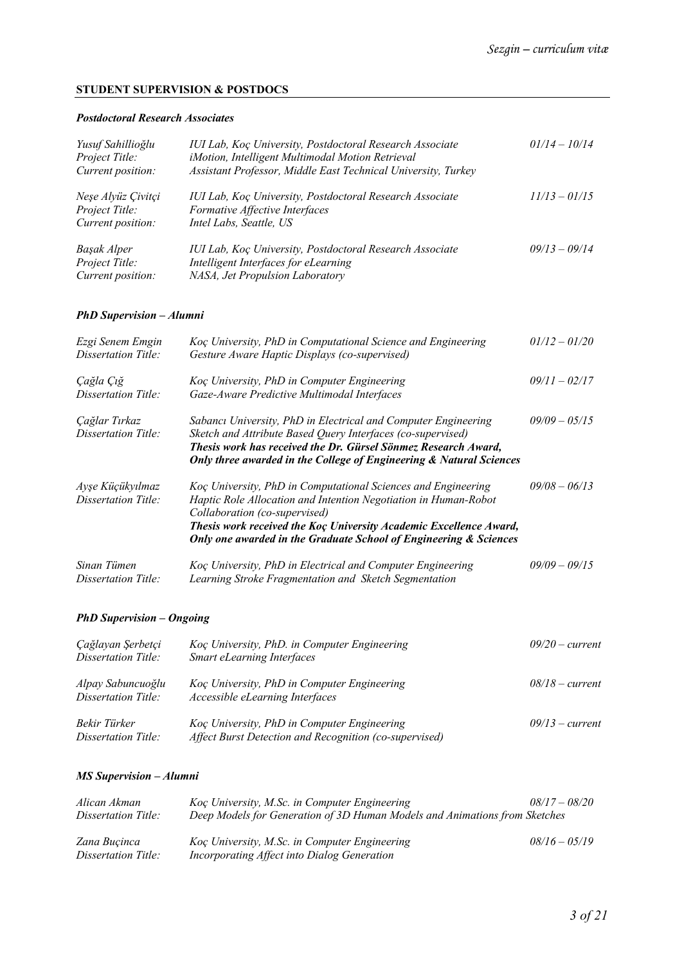# **STUDENT SUPERVISION & POSTDOCS**

## *Postdoctoral Research Associates*

| Yusuf Sahillioğlu<br><i>Project Title:</i><br>Current position: | IUI Lab, Koç University, Postdoctoral Research Associate<br>iMotion, Intelligent Multimodal Motion Retrieval<br>Assistant Professor, Middle East Technical University, Turkey | $01/14 - 10/14$ |
|-----------------------------------------------------------------|-------------------------------------------------------------------------------------------------------------------------------------------------------------------------------|-----------------|
| Neşe Alyüz Çivitçi<br>Project Title:<br>Current position:       | IUI Lab, Koç University, Postdoctoral Research Associate<br>Formative Affective Interfaces<br>Intel Labs, Seattle, US                                                         | $11/13 - 01/15$ |
| Başak Alper<br>Project Title:<br>Current position:              | IUI Lab, Koç University, Postdoctoral Research Associate<br>Intelligent Interfaces for eLearning<br>NASA, Jet Propulsion Laboratory                                           | $09/13 - 09/14$ |

# *PhD Supervision – Alumni*

| Ezgi Senem Emgin<br>Dissertation Title: | Koç University, PhD in Computational Science and Engineering<br>Gesture Aware Haptic Displays (co-supervised)                                                                                                                                                                                                | $01/12 - 01/20$ |
|-----------------------------------------|--------------------------------------------------------------------------------------------------------------------------------------------------------------------------------------------------------------------------------------------------------------------------------------------------------------|-----------------|
| Çağla Çığ<br>Dissertation Title:        | Koç University, PhD in Computer Engineering<br>Gaze-Aware Predictive Multimodal Interfaces                                                                                                                                                                                                                   | $09/11 - 02/17$ |
| Çağlar Tırkaz<br>Dissertation Title:    | Sabancı University, PhD in Electrical and Computer Engineering<br>Sketch and Attribute Based Query Interfaces (co-supervised)<br>Thesis work has received the Dr. Gürsel Sönmez Research Award,<br>Only three awarded in the College of Engineering & Natural Sciences                                       | $09/09 - 05/15$ |
| Ayşe Küçükyılmaz<br>Dissertation Title: | Koc University, PhD in Computational Sciences and Engineering<br>Haptic Role Allocation and Intention Negotiation in Human-Robot<br>Collaboration (co-supervised)<br>Thesis work received the Koç University Academic Excellence Award,<br>Only one awarded in the Graduate School of Engineering & Sciences | $09/08 - 06/13$ |
| Sinan Tümen<br>Dissertation Title:      | Koc University, PhD in Electrical and Computer Engineering<br>Learning Stroke Fragmentation and Sketch Segmentation                                                                                                                                                                                          | $09/09 - 09/15$ |

# *PhD Supervision – Ongoing*

| Çağlayan Şerbetçi<br>Dissertation Title: | Koç University, PhD. in Computer Engineering<br><b>Smart eLearning Interfaces</b>                     | $09/20$ – current |
|------------------------------------------|-------------------------------------------------------------------------------------------------------|-------------------|
| Alpay Sabuncuoğlu<br>Dissertation Title: | Koç University, PhD in Computer Engineering<br>Accessible eLearning Interfaces                        | $08/18$ – current |
| Bekir Türker<br>Dissertation Title:      | Koç University, PhD in Computer Engineering<br>Affect Burst Detection and Recognition (co-supervised) | $09/13$ – current |

# *MS Supervision – Alumni*

| Alican Akman<br>Dissertation Title: | Koç University, M.Sc. in Computer Engineering<br>Deep Models for Generation of 3D Human Models and Animations from Sketches | $08/17 - 08/20$ |  |
|-------------------------------------|-----------------------------------------------------------------------------------------------------------------------------|-----------------|--|
| Zana Bucinca<br>Dissertation Title: | Koç University, M.Sc. in Computer Engineering<br>Incorporating Affect into Dialog Generation                                | $08/16 - 05/19$ |  |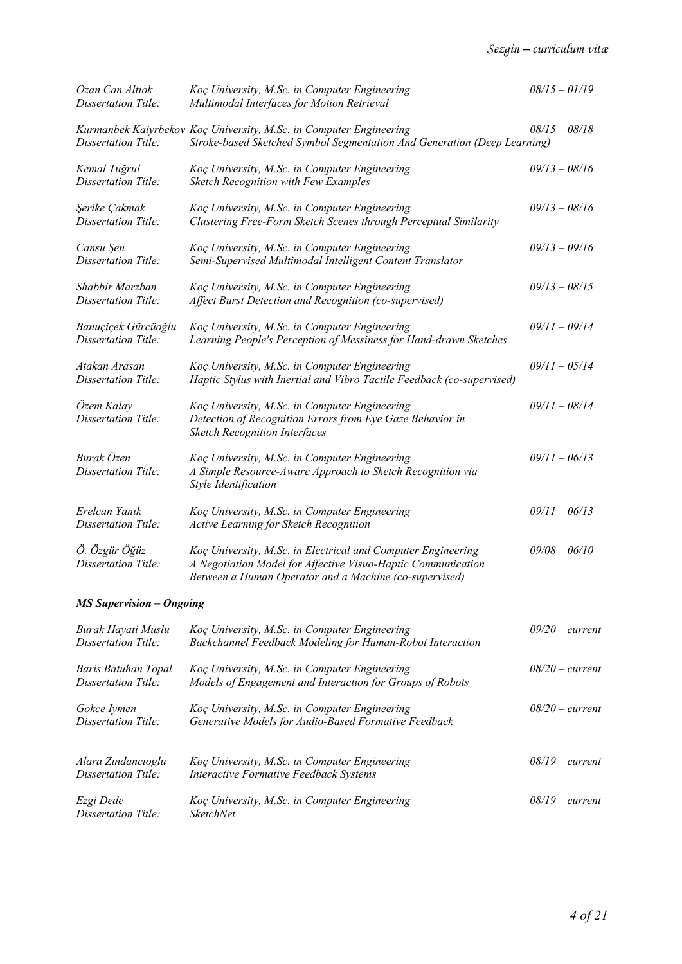| Ozan Can Altıok<br>Dissertation Title:            | Koç University, M.Sc. in Computer Engineering<br>Multimodal Interfaces for Motion Retrieval                                                                                            | $08/15 - 01/19$   |
|---------------------------------------------------|----------------------------------------------------------------------------------------------------------------------------------------------------------------------------------------|-------------------|
| Dissertation Title:                               | Kurmanbek Kaiyrbekov Koç University, M.Sc. in Computer Engineering<br>Stroke-based Sketched Symbol Segmentation And Generation (Deep Learning)                                         | $08/15 - 08/18$   |
| Kemal Tuğrul<br>Dissertation Title:               | Koç University, M.Sc. in Computer Engineering<br>Sketch Recognition with Few Examples                                                                                                  | $09/13 - 08/16$   |
| Şerike Çakmak<br>Dissertation Title:              | Koç University, M.Sc. in Computer Engineering<br>Clustering Free-Form Sketch Scenes through Perceptual Similarity                                                                      | $09/13 - 08/16$   |
| Cansu Şen<br>Dissertation Title:                  | Koç University, M.Sc. in Computer Engineering<br>Semi-Supervised Multimodal Intelligent Content Translator                                                                             | $09/13 - 09/16$   |
| Shabbir Marzban<br>Dissertation Title:            | Koç University, M.Sc. in Computer Engineering<br>Affect Burst Detection and Recognition (co-supervised)                                                                                | $09/13 - 08/15$   |
| Banuçiçek Gürcüoğlu<br>Dissertation Title:        | Koç University, M.Sc. in Computer Engineering<br>Learning People's Perception of Messiness for Hand-drawn Sketches                                                                     | $09/11 - 09/14$   |
| Atakan Arasan<br>Dissertation Title:              | Koç University, M.Sc. in Computer Engineering<br>Haptic Stylus with Inertial and Vibro Tactile Feedback (co-supervised)                                                                | $09/11 - 05/14$   |
| Özem Kalay<br>Dissertation Title:                 | Koç University, M.Sc. in Computer Engineering<br>Detection of Recognition Errors from Eye Gaze Behavior in<br><b>Sketch Recognition Interfaces</b>                                     | $09/11 - 08/14$   |
| Burak Özen<br>Dissertation Title:                 | Koç University, M.Sc. in Computer Engineering<br>A Simple Resource-Aware Approach to Sketch Recognition via<br>Style Identification                                                    | $09/11 - 06/13$   |
| Erelcan Yanık<br>Dissertation Title:              | Koç University, M.Sc. in Computer Engineering<br>Active Learning for Sketch Recognition                                                                                                | $09/11 - 06/13$   |
| Ö. Özgür Öğüz<br>Dissertation Title:              | Koç University, M.Sc. in Electrical and Computer Engineering<br>A Negotiation Model for Affective Visuo-Haptic Communication<br>Between a Human Operator and a Machine (co-supervised) | $09/08 - 06/10$   |
| <b>MS Supervision - Ongoing</b>                   |                                                                                                                                                                                        |                   |
| Burak Hayati Muslu<br>Dissertation Title:         | Koç University, M.Sc. in Computer Engineering<br>Backchannel Feedback Modeling for Human-Robot Interaction                                                                             | $09/20$ – current |
| <b>Baris Batuhan Topal</b><br>Dissertation Title: | Koç University, M.Sc. in Computer Engineering<br>Models of Engagement and Interaction for Groups of Robots                                                                             | $08/20$ – current |
| Gokce Iymen<br>Dissertation Title:                | Koç University, M.Sc. in Computer Engineering<br>Generative Models for Audio-Based Formative Feedback                                                                                  | $08/20$ – current |
| Alara Zindancioglu<br>Dissertation Title:         | Koç University, M.Sc. in Computer Engineering<br><b>Interactive Formative Feedback Systems</b>                                                                                         | $08/19$ - current |
| Ezgi Dede<br>Dissertation Title:                  | Koç University, M.Sc. in Computer Engineering<br><b>SketchNet</b>                                                                                                                      | $08/19$ - current |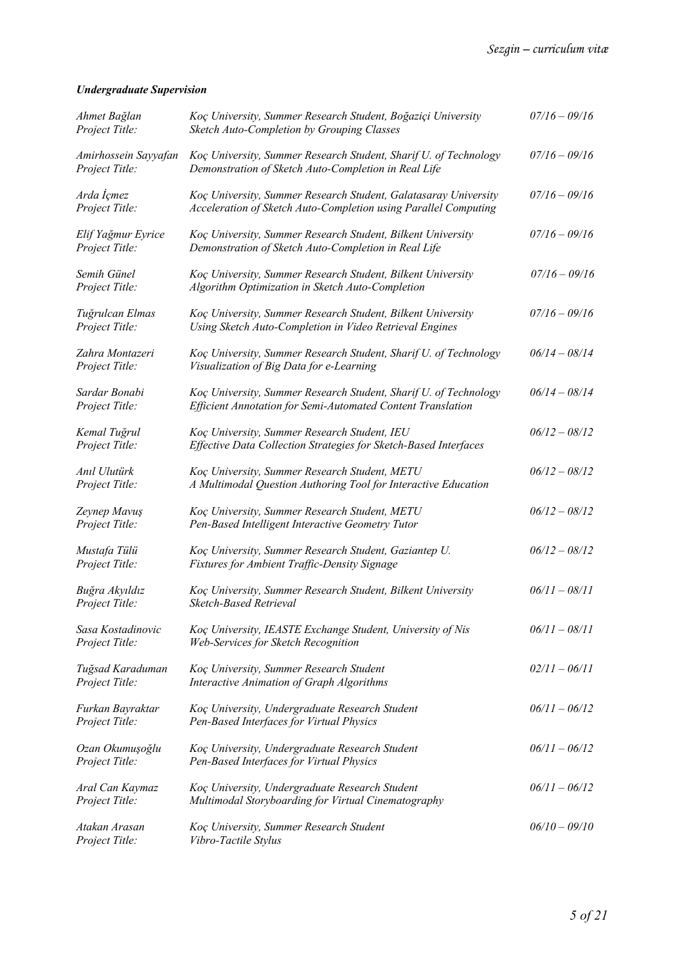# *Undergraduate Supervision*

| Ahmet Bağlan<br>Project Title:         | Koç University, Summer Research Student, Boğaziçi University<br>Sketch Auto-Completion by Grouping Classes                         | $07/16 - 09/16$ |
|----------------------------------------|------------------------------------------------------------------------------------------------------------------------------------|-----------------|
| Amirhossein Sayyafan<br>Project Title: | Koç University, Summer Research Student, Sharif U. of Technology<br>Demonstration of Sketch Auto-Completion in Real Life           | $07/16 - 09/16$ |
| Arda İçmez<br>Project Title:           | Koç University, Summer Research Student, Galatasaray University<br>Acceleration of Sketch Auto-Completion using Parallel Computing | $07/16 - 09/16$ |
| Elif Yağmur Eyrice<br>Project Title:   | Koç University, Summer Research Student, Bilkent University<br>Demonstration of Sketch Auto-Completion in Real Life                | $07/16 - 09/16$ |
| Semih Günel<br>Project Title:          | Koç University, Summer Research Student, Bilkent University<br>Algorithm Optimization in Sketch Auto-Completion                    | $07/16 - 09/16$ |
| Tuğrulcan Elmas<br>Project Title:      | Koç University, Summer Research Student, Bilkent University<br>Using Sketch Auto-Completion in Video Retrieval Engines             | $07/16 - 09/16$ |
| Zahra Montazeri<br>Project Title:      | Koç University, Summer Research Student, Sharif U. of Technology<br>Visualization of Big Data for e-Learning                       | $06/14 - 08/14$ |
| Sardar Bonabi<br>Project Title:        | Koç University, Summer Research Student, Sharif U. of Technology<br>Efficient Annotation for Semi-Automated Content Translation    | $06/14 - 08/14$ |
| Kemal Tuğrul<br>Project Title:         | Koç University, Summer Research Student, IEU<br>Effective Data Collection Strategies for Sketch-Based Interfaces                   | $06/12 - 08/12$ |
| Anıl Ulutürk<br>Project Title:         | Koç University, Summer Research Student, METU<br>A Multimodal Question Authoring Tool for Interactive Education                    | $06/12 - 08/12$ |
| Zeynep Mavuş<br>Project Title:         | Koç University, Summer Research Student, METU<br>Pen-Based Intelligent Interactive Geometry Tutor                                  | $06/12 - 08/12$ |
| Mustafa Tülü<br>Project Title:         | Koç University, Summer Research Student, Gaziantep U.<br>Fixtures for Ambient Traffic-Density Signage                              | $06/12 - 08/12$ |
| Buğra Akyıldız<br>Project Title:       | Koç University, Summer Research Student, Bilkent University<br>Sketch-Based Retrieval                                              | $06/11 - 08/11$ |
| Sasa Kostadinovic<br>Project Title:    | Koç University, IEASTE Exchange Student, University of Nis<br>Web-Services for Sketch Recognition                                  | $06/11 - 08/11$ |
| Tuğsad Karaduman<br>Project Title:     | Koç University, Summer Research Student<br>Interactive Animation of Graph Algorithms                                               | $02/11 - 06/11$ |
| Furkan Bayraktar<br>Project Title:     | Koç University, Undergraduate Research Student<br>Pen-Based Interfaces for Virtual Physics                                         | $06/11 - 06/12$ |
| Ozan Okumuşoğlu<br>Project Title:      | Koç University, Undergraduate Research Student<br>Pen-Based Interfaces for Virtual Physics                                         | $06/11 - 06/12$ |
| Aral Can Kaymaz<br>Project Title:      | Koç University, Undergraduate Research Student<br>Multimodal Storyboarding for Virtual Cinematography                              | $06/11 - 06/12$ |
| Atakan Arasan<br>Project Title:        | Koç University, Summer Research Student<br>Vibro-Tactile Stylus                                                                    | $06/10 - 09/10$ |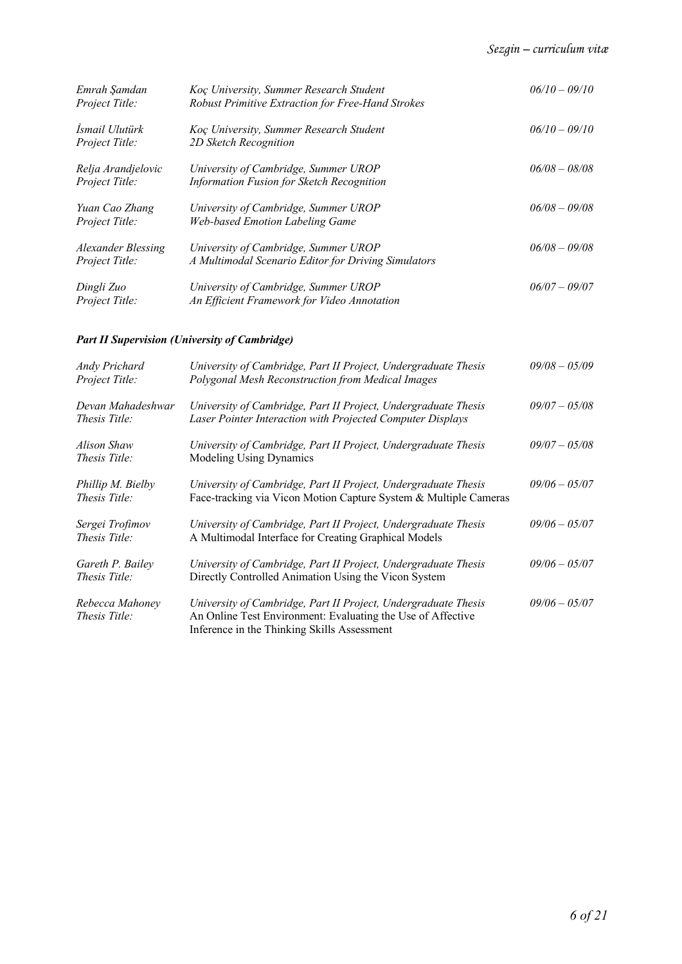| Emrah Şamdan<br>Project Title:              | Koç University, Summer Research Student<br>Robust Primitive Extraction for Free-Hand Strokes | $06/10 - 09/10$ |
|---------------------------------------------|----------------------------------------------------------------------------------------------|-----------------|
| Ismail Ulutürk<br>Project Title:            | Koç University, Summer Research Student<br>2D Sketch Recognition                             | $06/10 - 09/10$ |
| Relja Arandjelovic<br>Project Title:        | University of Cambridge, Summer UROP<br>Information Fusion for Sketch Recognition            | $06/08 - 08/08$ |
| Yuan Cao Zhang<br>Project Title:            | University of Cambridge, Summer UROP<br><b>Web-based Emotion Labeling Game</b>               | $06/08 - 09/08$ |
| <b>Alexander Blessing</b><br>Project Title: | University of Cambridge, Summer UROP<br>A Multimodal Scenario Editor for Driving Simulators  | $06/08 - 09/08$ |
| Dingli Zuo<br>Project Title:                | University of Cambridge, Summer UROP<br>An Efficient Framework for Video Annotation          | $06/07 - 09/07$ |

# *Part II Supervision (University of Cambridge)*

| Andy Prichard<br>Project Title:           | University of Cambridge, Part II Project, Undergraduate Thesis<br>Polygonal Mesh Reconstruction from Medical Images                                                          | $09/08 - 05/09$ |
|-------------------------------------------|------------------------------------------------------------------------------------------------------------------------------------------------------------------------------|-----------------|
| Devan Mahadeshwar<br><i>Thesis Title:</i> | University of Cambridge, Part II Project, Undergraduate Thesis<br>Laser Pointer Interaction with Projected Computer Displays                                                 | $09/07 - 05/08$ |
| Alison Shaw<br><i>Thesis Title:</i>       | University of Cambridge, Part II Project, Undergraduate Thesis<br>Modeling Using Dynamics                                                                                    | $09/07 - 05/08$ |
| Phillip M. Bielby<br>Thesis Title:        | University of Cambridge, Part II Project, Undergraduate Thesis<br>Face-tracking via Vicon Motion Capture System & Multiple Cameras                                           | $09/06 - 05/07$ |
| Sergei Trofimov<br>Thesis Title:          | University of Cambridge, Part II Project, Undergraduate Thesis<br>A Multimodal Interface for Creating Graphical Models                                                       | $09/06 - 05/07$ |
| Gareth P. Bailey<br>Thesis Title:         | University of Cambridge, Part II Project, Undergraduate Thesis<br>Directly Controlled Animation Using the Vicon System                                                       | $09/06 - 05/07$ |
| Rebecca Mahoney<br><i>Thesis Title:</i>   | University of Cambridge, Part II Project, Undergraduate Thesis<br>An Online Test Environment: Evaluating the Use of Affective<br>Inference in the Thinking Skills Assessment | $09/06 - 05/07$ |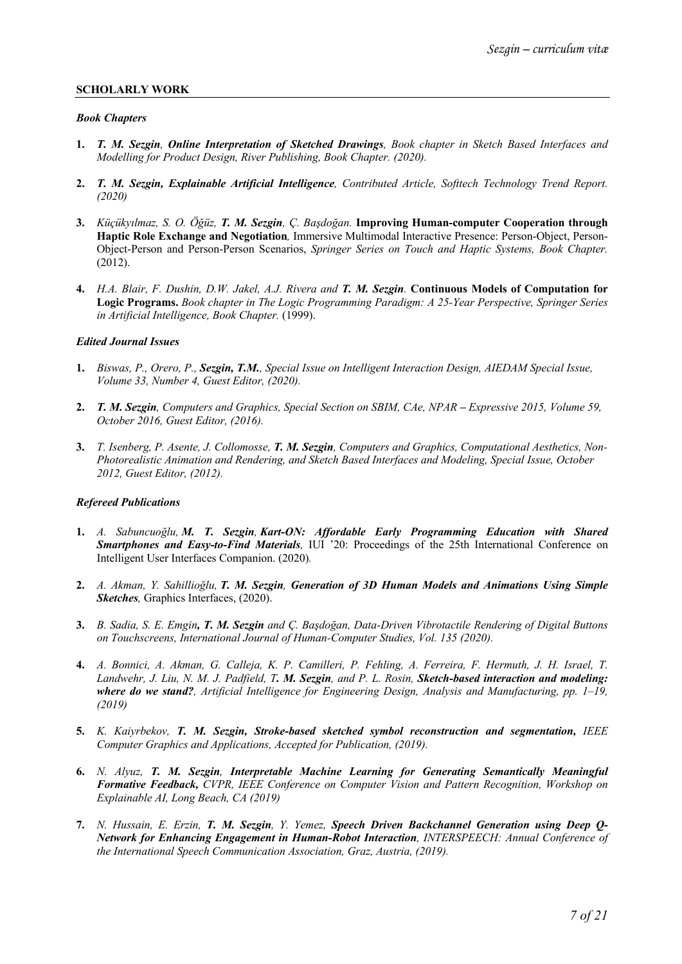## **SCHOLARLY WORK**

#### *Book Chapters*

- **1.** *T. M. Sezgin, Online Interpretation of Sketched Drawings, Book chapter in Sketch Based Interfaces and Modelling for Product Design, River Publishing, Book Chapter. (2020).*
- **2.** *T. M. Sezgin, Explainable Artificial Intelligence, Contributed Article, Softtech Technology Trend Report. (2020)*
- **3.** *Küçükyılmaz, S. O. Öğüz, T. M. Sezgin, Ç. Başdoğan.* **Improving Human-computer Cooperation through Haptic Role Exchange and Negotiation***,* Immersive Multimodal Interactive Presence: Person-Object, Person-Object-Person and Person-Person Scenarios, *Springer Series on Touch and Haptic Systems, Book Chapter.* (2012).
- **4.** *H.A. Blair, F. Dushin, D.W. Jakel, A.J. Rivera and T. M. Sezgin.* **Continuous Models of Computation for Logic Programs.** *Book chapter in The Logic Programming Paradigm: A 25-Year Perspective, Springer Series in Artificial Intelligence, Book Chapter.* (1999).

#### *Edited Journal Issues*

- **1.** *Biswas, P., Orero, P., Sezgin, T.M., Special Issue on Intelligent Interaction Design, AIEDAM Special Issue, Volume 33, Number 4, Guest Editor, (2020).*
- 2. *T. M. Sezgin, Computers and Graphics, Special Section on SBIM, CAe, NPAR Expressive 2015, Volume 59, October 2016, Guest Editor, (2016).*
- **3.** *T. Isenberg, P. Asente, J. Collomosse, T. M. Sezgin, Computers and Graphics, Computational Aesthetics, Non-Photorealistic Animation and Rendering, and Sketch Based Interfaces and Modeling, Special Issue, October 2012, Guest Editor, (2012).*

#### *Refereed Publications*

- **1.** *A. Sabuncuoğlu, M. T. Sezgin, Kart-ON: Affordable Early Programming Education with Shared Smartphones and Easy-to-Find Materials,* IUI '20: Proceedings of the 25th International Conference on Intelligent User Interfaces Companion. (2020)*.*
- **2.** *A. Akman, Y. Sahillioğlu, T. M. Sezgin, Generation of 3D Human Models and Animations Using Simple Sketches,* Graphics Interfaces, (2020).
- **3.** *B. Sadia, S. E. Emgin, T. M. Sezgin and Ç. Başdoğan, Data-Driven Vibrotactile Rendering of Digital Buttons on Touchscreens, International Journal of Human-Computer Studies, Vol. 135 (2020).*
- **4.** *A. Bonnici, A. Akman, G. Calleja, K. P. Camilleri, P. Fehling, A. Ferreira, F. Hermuth, J. H. Israel, T. Landwehr, J. Liu, N. M. J. Padfield, T. M. Sezgin, and P. L. Rosin, Sketch-based interaction and modeling: where do we stand?, Artificial Intelligence for Engineering Design, Analysis and Manufacturing, pp. 1–19, (2019)*
- **5.** *K. Kaiyrbekov, T. M. Sezgin, Stroke-based sketched symbol reconstruction and segmentation, IEEE Computer Graphics and Applications, Accepted for Publication, (2019).*
- **6.** *N. Alyuz, T. M. Sezgin, Interpretable Machine Learning for Generating Semantically Meaningful Formative Feedback, CVPR, IEEE Conference on Computer Vision and Pattern Recognition, Workshop on Explainable AI, Long Beach, CA (2019)*
- **7.** *N. Hussain, E. Erzin, T. M. Sezgin, Y. Yemez, Speech Driven Backchannel Generation using Deep Q-Network for Enhancing Engagement in Human-Robot Interaction, INTERSPEECH: Annual Conference of the International Speech Communication Association, Graz, Austria, (2019).*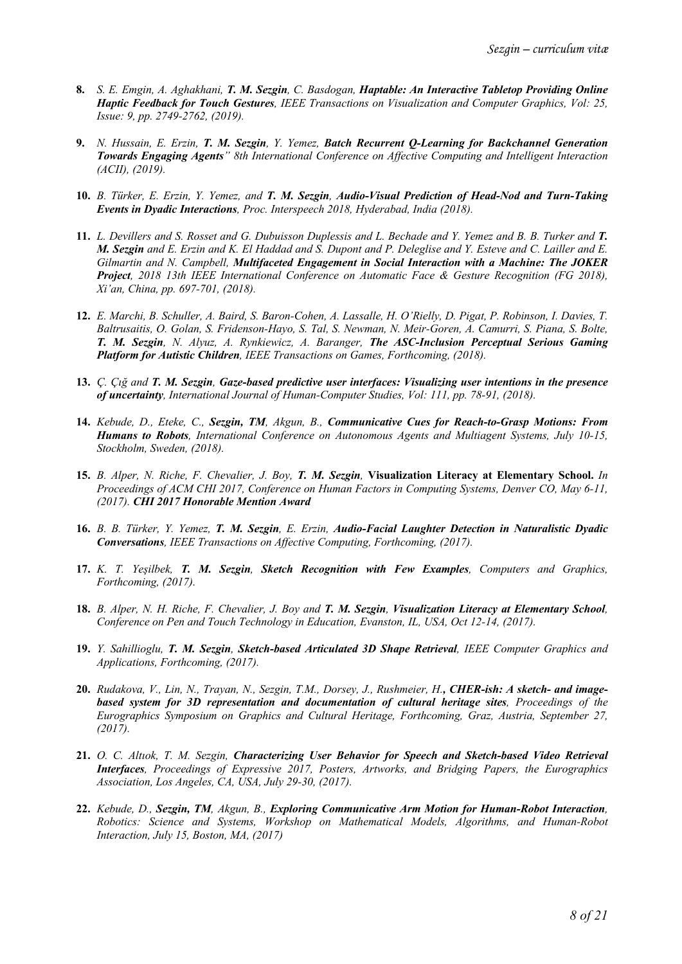- **8.** *S. E. Emgin, A. Aghakhani, T. M. Sezgin, C. Basdogan, Haptable: An Interactive Tabletop Providing Online Haptic Feedback for Touch Gestures, IEEE Transactions on Visualization and Computer Graphics, Vol: 25, Issue: 9, pp. 2749-2762, (2019).*
- **9.** *N. Hussain, E. Erzin, T. M. Sezgin, Y. Yemez, Batch Recurrent Q-Learning for Backchannel Generation Towards Engaging Agents" 8th International Conference on Affective Computing and Intelligent Interaction (ACII), (2019).*
- **10.** *B. Türker, E. Erzin, Y. Yemez, and T. M. Sezgin, Audio-Visual Prediction of Head-Nod and Turn-Taking Events in Dyadic Interactions, Proc. Interspeech 2018, Hyderabad, India (2018).*
- **11.** *L. Devillers and S. Rosset and G. Dubuisson Duplessis and L. Bechade and Y. Yemez and B. B. Turker and T. M. Sezgin and E. Erzin and K. El Haddad and S. Dupont and P. Deleglise and Y. Esteve and C. Lailler and E. Gilmartin and N. Campbell, Multifaceted Engagement in Social Interaction with a Machine: The JOKER Project, 2018 13th IEEE International Conference on Automatic Face & Gesture Recognition (FG 2018), Xi'an, China, pp. 697-701, (2018).*
- **12.** *E. Marchi, B. Schuller, A. Baird, S. Baron-Cohen, A. Lassalle, H. O'Rielly, D. Pigat, P. Robinson, I. Davies, T. Baltrusaitis, O. Golan, S. Fridenson-Hayo, S. Tal, S. Newman, N. Meir-Goren, A. Camurri, S. Piana, S. Bolte, T. M. Sezgin, N. Alyuz, A. Rynkiewicz, A. Baranger, The ASC-Inclusion Perceptual Serious Gaming Platform for Autistic Children, IEEE Transactions on Games, Forthcoming, (2018).*
- **13.** *Ç. Çığ and T. M. Sezgin, Gaze-based predictive user interfaces: Visualizing user intentions in the presence of uncertainty, International Journal of Human-Computer Studies, Vol: 111, pp. 78-91, (2018).*
- **14.** *Kebude, D., Eteke, C., Sezgin, TM, Akgun, B., Communicative Cues for Reach-to-Grasp Motions: From Humans to Robots, International Conference on Autonomous Agents and Multiagent Systems, July 10-15, Stockholm, Sweden, (2018).*
- **15.** *B. Alper, N. Riche, F. Chevalier, J. Boy, T. M. Sezgin,* **Visualization Literacy at Elementary School.** *In Proceedings of ACM CHI 2017, Conference on Human Factors in Computing Systems, Denver CO, May 6-11, (2017). CHI 2017 Honorable Mention Award*
- **16.** *B. B. Türker, Y. Yemez, T. M. Sezgin, E. Erzin, Audio-Facial Laughter Detection in Naturalistic Dyadic Conversations, IEEE Transactions on Affective Computing, Forthcoming, (2017).*
- **17.** *K. T. Yeşilbek, T. M. Sezgin, Sketch Recognition with Few Examples, Computers and Graphics, Forthcoming, (2017).*
- **18.** *B. Alper, N. H. Riche, F. Chevalier, J. Boy and T. M. Sezgin, Visualization Literacy at Elementary School, Conference on Pen and Touch Technology in Education, Evanston, IL, USA, Oct 12-14, (2017).*
- **19.** *Y. Sahillioglu, T. M. Sezgin, Sketch-based Articulated 3D Shape Retrieval, IEEE Computer Graphics and Applications, Forthcoming, (2017).*
- **20.** *Rudakova, V., Lin, N., Trayan, N., Sezgin, T.M., Dorsey, J., Rushmeier, H., CHER-ish: A sketch- and imagebased system for 3D representation and documentation of cultural heritage sites, Proceedings of the Eurographics Symposium on Graphics and Cultural Heritage, Forthcoming, Graz, Austria, September 27, (2017).*
- **21.** *O. C. Altıok, T. M. Sezgin, Characterizing User Behavior for Speech and Sketch-based Video Retrieval Interfaces, Proceedings of Expressive 2017, Posters, Artworks, and Bridging Papers, the Eurographics Association, Los Angeles, CA, USA, July 29-30, (2017).*
- **22.** *Kebude, D., Sezgin, TM, Akgun, B., Exploring Communicative Arm Motion for Human-Robot Interaction, Robotics: Science and Systems, Workshop on Mathematical Models, Algorithms, and Human-Robot Interaction, July 15, Boston, MA, (2017)*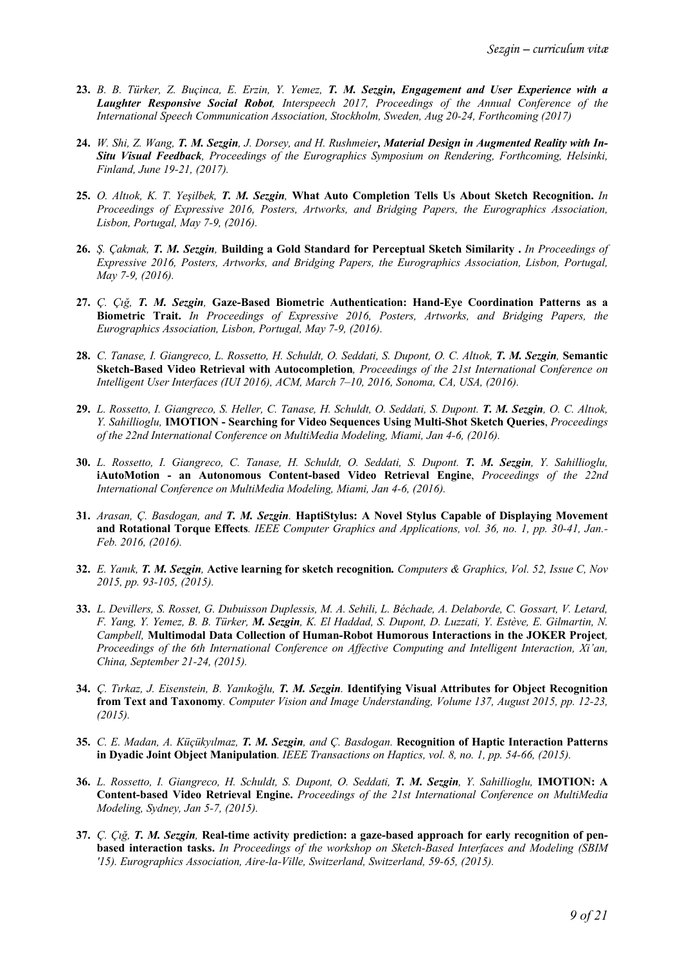- **23.** *B. B. Türker, Z. Buçinca, E. Erzin, Y. Yemez, T. M. Sezgin, Engagement and User Experience with a Laughter Responsive Social Robot, Interspeech 2017, Proceedings of the Annual Conference of the International Speech Communication Association, Stockholm, Sweden, Aug 20-24, Forthcoming (2017)*
- **24.** *W. Shi, Z. Wang, T. M. Sezgin, J. Dorsey, and H. Rushmeier, Material Design in Augmented Reality with In-Situ Visual Feedback, Proceedings of the Eurographics Symposium on Rendering, Forthcoming, Helsinki, Finland, June 19-21, (2017).*
- **25.** *O. Altıok, K. T. Yeşilbek, T. M. Sezgin,* **What Auto Completion Tells Us About Sketch Recognition.** *In Proceedings of Expressive 2016, Posters, Artworks, and Bridging Papers, the Eurographics Association, Lisbon, Portugal, May 7-9, (2016).*
- **26.** *Ş. Çakmak, T. M. Sezgin,* **Building a Gold Standard for Perceptual Sketch Similarity .** *In Proceedings of Expressive 2016, Posters, Artworks, and Bridging Papers, the Eurographics Association, Lisbon, Portugal, May 7-9, (2016).*
- **27.** *Ç. Çığ, T. M. Sezgin,* **Gaze-Based Biometric Authentication: Hand-Eye Coordination Patterns as a Biometric Trait.** *In Proceedings of Expressive 2016, Posters, Artworks, and Bridging Papers, the Eurographics Association, Lisbon, Portugal, May 7-9, (2016).*
- **28.** *C. Tanase, I. Giangreco, L. Rossetto, H. Schuldt, O. Seddati, S. Dupont, O. C. Altıok, T. M. Sezgin,* **Semantic Sketch-Based Video Retrieval with Autocompletion***, Proceedings of the 21st International Conference on Intelligent User Interfaces (IUI 2016), ACM, March 7–10, 2016, Sonoma, CA, USA, (2016).*
- **29.** *L. Rossetto, I. Giangreco, S. Heller, C. Tanase, H. Schuldt, O. Seddati, S. Dupont. T. M. Sezgin, O. C. Altıok, Y. Sahillioglu,* **IMOTION - Searching for Video Sequences Using Multi-Shot Sketch Queries**, *Proceedings of the 22nd International Conference on MultiMedia Modeling, Miami, Jan 4-6, (2016).*
- **30.** *L. Rossetto, I. Giangreco, C. Tanase, H. Schuldt, O. Seddati, S. Dupont. T. M. Sezgin, Y. Sahillioglu,*  **iAutoMotion - an Autonomous Content-based Video Retrieval Engine**, *Proceedings of the 22nd International Conference on MultiMedia Modeling, Miami, Jan 4-6, (2016).*
- **31.** *Arasan, Ç. Basdogan, and T. M. Sezgin.* **HaptiStylus: A Novel Stylus Capable of Displaying Movement and Rotational Torque Effects***. IEEE Computer Graphics and Applications, vol. 36, no. 1, pp. 30-41, Jan.- Feb. 2016, (2016).*
- **32.** *E. Yanık, T. M. Sezgin,* **Active learning for sketch recognition***. Computers & Graphics, Vol. 52, Issue C, Nov 2015, pp. 93-105, (2015).*
- **33.** *L. Devillers, S. Rosset, G. Dubuisson Duplessis, M. A. Sehili, L. Béchade, A. Delaborde, C. Gossart, V. Letard, F. Yang, Y. Yemez, B. B. Türker, M. Sezgin, K. El Haddad, S. Dupont, D. Luzzati, Y. Estève, E. Gilmartin, N. Campbell,* **Multimodal Data Collection of Human-Robot Humorous Interactions in the JOKER Project***, Proceedings of the 6th International Conference on Affective Computing and Intelligent Interaction, Xi'an, China, September 21-24, (2015).*
- **34.** *Ç. Tırkaz, J. Eisenstein, B. Yanıkoğlu, T. M. Sezgin.* **Identifying Visual Attributes for Object Recognition from Text and Taxonomy***. Computer Vision and Image Understanding, Volume 137, August 2015, pp. 12-23, (2015).*
- **35.** *C. E. Madan, A. Küçükyılmaz, T. M. Sezgin, and Ç. Basdogan.* **Recognition of Haptic Interaction Patterns in Dyadic Joint Object Manipulation***. IEEE Transactions on Haptics, vol. 8, no. 1, pp. 54-66, (2015).*
- **36.** *L. Rossetto, I. Giangreco, H. Schuldt, S. Dupont, O. Seddati, T. M. Sezgin, Y. Sahillioglu,* **IMOTION: A Content-based Video Retrieval Engine.** *Proceedings of the 21st International Conference on MultiMedia Modeling, Sydney, Jan 5-7, (2015).*
- **37.** *Ç. Çığ, T. M. Sezgin,* **Real-time activity prediction: a gaze-based approach for early recognition of penbased interaction tasks.** *In Proceedings of the workshop on Sketch-Based Interfaces and Modeling (SBIM '15). Eurographics Association, Aire-la-Ville, Switzerland, Switzerland, 59-65, (2015).*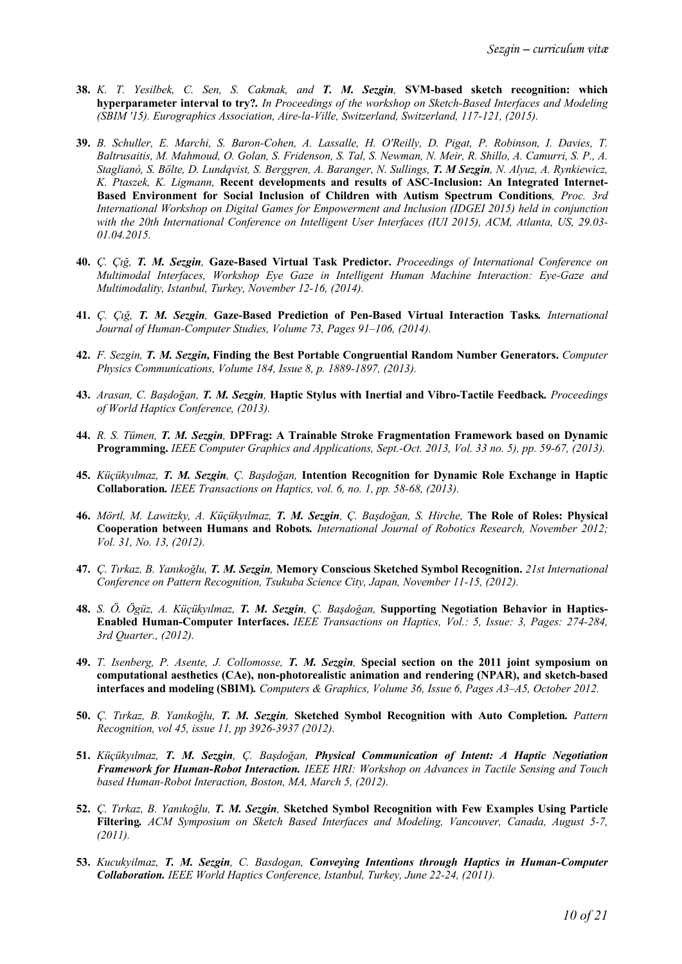- **38.** *K. T. Yesilbek, C. Sen, S. Cakmak, and T. M. Sezgin,* **SVM-based sketch recognition: which hyperparameter interval to try?***. In Proceedings of the workshop on Sketch-Based Interfaces and Modeling (SBIM '15). Eurographics Association, Aire-la-Ville, Switzerland, Switzerland, 117-121, (2015).*
- **39.** *B. Schuller, E. Marchi, S. Baron-Cohen, A. Lassalle, H. O'Reilly, D. Pigat, P. Robinson, I. Davies, T. Baltrusaitis, M. Mahmoud, O. Golan, S. Fridenson, S. Tal, S. Newman, N. Meir, R. Shillo, A. Camurri, S. P., A. Staglianò, S. Bölte, D. Lundqvist, S. Berggren, A. Baranger, N. Sullings, T. M Sezgin, N. Alyuz, A. Rynkiewicz, K. Ptaszek, K. Ligmann,* **Recent developments and results of ASC-Inclusion: An Integrated Internet-Based Environment for Social Inclusion of Children with Autism Spectrum Conditions***, Proc. 3rd International Workshop on Digital Games for Empowerment and Inclusion (IDGEI 2015) held in conjunction with the 20th International Conference on Intelligent User Interfaces (IUI 2015), ACM, Atlanta, US, 29.03- 01.04.2015.*
- **40.** *Ç. Çığ, T. M. Sezgin,* **Gaze-Based Virtual Task Predictor.** *Proceedings of International Conference on Multimodal Interfaces, Workshop Eye Gaze in Intelligent Human Machine Interaction: Eye-Gaze and Multimodality, Istanbul, Turkey, November 12-16, (2014).*
- **41.** *Ç. Çığ, T. M. Sezgin,* **Gaze-Based Prediction of Pen-Based Virtual Interaction Tasks***. International Journal of Human-Computer Studies, Volume 73, Pages 91–106, (2014).*
- **42.** *F. Sezgin, T. M. Sezgin,* **Finding the Best Portable Congruential Random Number Generators.** *Computer Physics Communications, Volume 184, Issue 8, p. 1889-1897, (2013).*
- **43.** *Arasan, C. Başdoğan, T. M. Sezgin,* **Haptic Stylus with Inertial and Vibro-Tactile Feedback***. Proceedings of World Haptics Conference, (2013).*
- **44.** *R. S. Tümen, T. M. Sezgin,* **DPFrag: A Trainable Stroke Fragmentation Framework based on Dynamic Programming.** *IEEE Computer Graphics and Applications, Sept.-Oct. 2013, Vol. 33 no. 5), pp. 59-67, (2013).*
- **45.** *Küçükyılmaz, T. M. Sezgin, Ç. Başdoğan,* **Intention Recognition for Dynamic Role Exchange in Haptic Collaboration***. IEEE Transactions on Haptics, vol. 6, no. 1, pp. 58-68, (2013).*
- **46.** *Mörtl, M. Lawitzky, A. Küçükyılmaz, T. M. Sezgin, Ç. Başdoğan, S. Hirche,* **The Role of Roles: Physical Cooperation between Humans and Robots***. International Journal of Robotics Research, November 2012; Vol. 31, No. 13, (2012).*
- **47.** *Ç. Tırkaz, B. Yanıkoğlu, T. M. Sezgin,* **Memory Conscious Sketched Symbol Recognition.** *21st International Conference on Pattern Recognition, Tsukuba Science City, Japan, November 11-15, (2012).*
- **48.** *S. Ö. Ögüz, A. Küçükyılmaz, T. M. Sezgin, Ç. Başdoğan,* **Supporting Negotiation Behavior in Haptics-Enabled Human-Computer Interfaces.** *IEEE Transactions on Haptics, Vol.: 5, Issue: 3, Pages: 274-284, 3rd Quarter., (2012).*
- **49.** *T. Isenberg, P. Asente, J. Collomosse, T. M. Sezgin,* **Special section on the 2011 joint symposium on computational aesthetics (CAe), non-photorealistic animation and rendering (NPAR), and sketch-based interfaces and modeling (SBIM)***. Computers & Graphics, Volume 36, Issue 6, Pages A3–A5, October 2012.*
- **50.** *Ç. Tırkaz, B. Yanıkoğlu, T. M. Sezgin,* **Sketched Symbol Recognition with Auto Completion***. Pattern Recognition, vol 45, issue 11, pp 3926-3937 (2012).*
- **51.** *Küçükyılmaz, T. M. Sezgin, Ç. Başdoğan, Physical Communication of Intent: A Haptic Negotiation Framework for Human-Robot Interaction. IEEE HRI: Workshop on Advances in Tactile Sensing and Touch based Human-Robot Interaction, Boston, MA, March 5, (2012).*
- **52.** *Ç. Tırkaz, B. Yanıkoğlu, T. M. Sezgin,* **Sketched Symbol Recognition with Few Examples Using Particle Filtering***. ACM Symposium on Sketch Based Interfaces and Modeling, Vancouver, Canada, August 5-7, (2011).*
- **53.** *Kucukyilmaz, T. M. Sezgin, C. Basdogan, Conveying Intentions through Haptics in Human-Computer Collaboration. IEEE World Haptics Conference, Istanbul, Turkey, June 22-24, (2011).*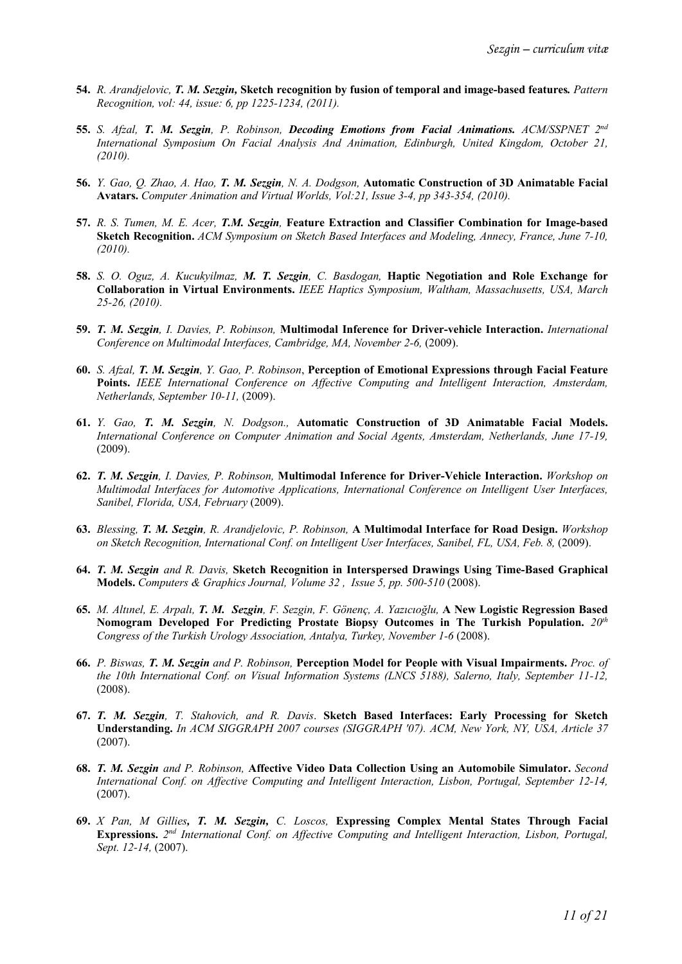- **54.** *R. Arandjelovic, T. M. Sezgin,* **Sketch recognition by fusion of temporal and image-based features***. Pattern Recognition, vol: 44, issue: 6, pp 1225-1234, (2011).*
- **55.** *S. Afzal, T. M. Sezgin, P. Robinson, Decoding Emotions from Facial Animations. ACM/SSPNET 2nd International Symposium On Facial Analysis And Animation, Edinburgh, United Kingdom, October 21, (2010).*
- **56.** *Y. Gao, Q. Zhao, A. Hao, T. M. Sezgin, N. A. Dodgson,* **Automatic Construction of 3D Animatable Facial Avatars.** *Computer Animation and Virtual Worlds, Vol:21, Issue 3-4, pp 343-354, (2010).*
- **57.** *R. S. Tumen, M. E. Acer, T.M. Sezgin,* **Feature Extraction and Classifier Combination for Image-based Sketch Recognition.** *ACM Symposium on Sketch Based Interfaces and Modeling, Annecy, France, June 7-10, (2010).*
- **58.** *S. O. Oguz, A. Kucukyilmaz, M. T. Sezgin, C. Basdogan,* **Haptic Negotiation and Role Exchange for Collaboration in Virtual Environments.** *IEEE Haptics Symposium, Waltham, Massachusetts, USA, March 25-26, (2010).*
- **59.** *T. M. Sezgin, I. Davies, P. Robinson,* **Multimodal Inference for Driver-vehicle Interaction.** *International Conference on Multimodal Interfaces, Cambridge, MA, November 2-6,* (2009).
- **60.** *S. Afzal, T. M. Sezgin, Y. Gao, P. Robinson*, **Perception of Emotional Expressions through Facial Feature Points.** *IEEE International Conference on Affective Computing and Intelligent Interaction, Amsterdam, Netherlands, September 10-11,* (2009).
- **61.** *Y. Gao, T. M. Sezgin, N. Dodgson.,* **Automatic Construction of 3D Animatable Facial Models.** *International Conference on Computer Animation and Social Agents, Amsterdam, Netherlands, June 17-19,*  (2009).
- **62.** *T. M. Sezgin, I. Davies, P. Robinson,* **Multimodal Inference for Driver-Vehicle Interaction.** *Workshop on Multimodal Interfaces for Automotive Applications, International Conference on Intelligent User Interfaces, Sanibel, Florida, USA, February* (2009).
- **63.** *Blessing, T. M. Sezgin, R. Arandjelovic, P. Robinson,* **A Multimodal Interface for Road Design.** *Workshop on Sketch Recognition, International Conf. on Intelligent User Interfaces, Sanibel, FL, USA, Feb. 8,* (2009).
- **64.** *T. M. Sezgin and R. Davis,* **Sketch Recognition in Interspersed Drawings Using Time-Based Graphical Models.** *Computers & Graphics Journal, Volume 32 , Issue 5, pp. 500-510* (2008).
- **65.** *M. Altınel, E. Arpalı, T. M. Sezgin, F. Sezgin, F. Gönenç, A. Yazıcıoğlu,* **A New Logistic Regression Based Nomogram Developed For Predicting Prostate Biopsy Outcomes in The Turkish Population.** *20th Congress of the Turkish Urology Association, Antalya, Turkey, November 1-6* (2008).
- **66.** *P. Biswas, T. M. Sezgin and P. Robinson,* **Perception Model for People with Visual Impairments.** *Proc. of the 10th International Conf. on Visual Information Systems (LNCS 5188), Salerno, Italy, September 11-12,*  (2008).
- **67.** *T. M. Sezgin, T. Stahovich, and R. Davis*. **Sketch Based Interfaces: Early Processing for Sketch Understanding.** *In ACM SIGGRAPH 2007 courses (SIGGRAPH '07). ACM, New York, NY, USA, Article 37* (2007).
- **68.** *T. M. Sezgin and P. Robinson,* **Affective Video Data Collection Using an Automobile Simulator.** *Second International Conf. on Affective Computing and Intelligent Interaction, Lisbon, Portugal, September 12-14,*  (2007).
- **69.** *X Pan, M Gillies, T. M. Sezgin, C. Loscos,* **Expressing Complex Mental States Through Facial Expressions.** *2nd International Conf. on Affective Computing and Intelligent Interaction, Lisbon, Portugal, Sept. 12-14,* (2007).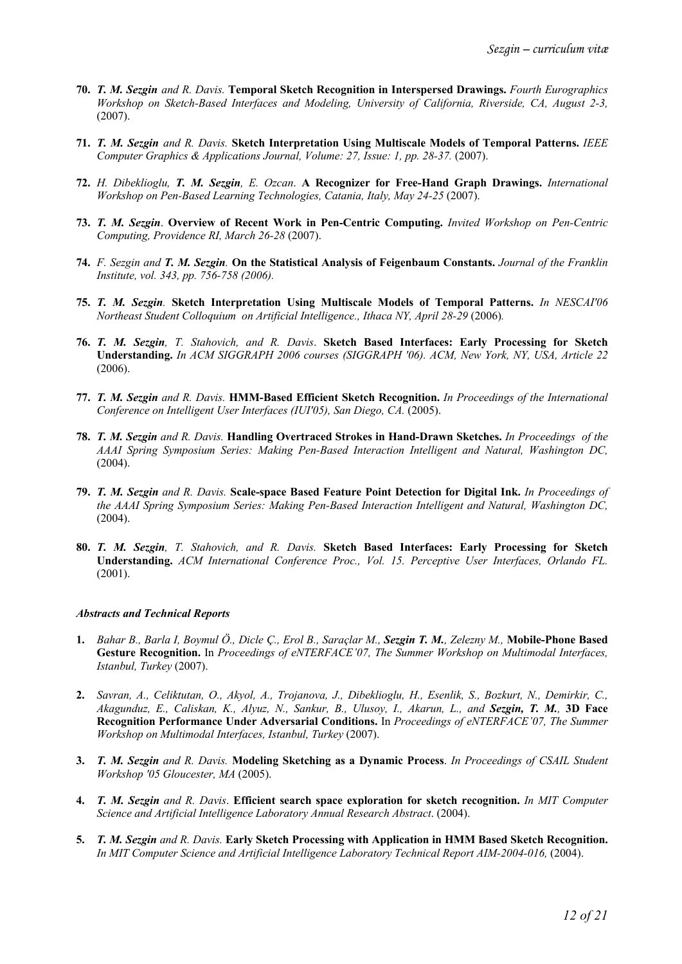- **70.** *T. M. Sezgin and R. Davis.* **Temporal Sketch Recognition in Interspersed Drawings.** *Fourth Eurographics Workshop on Sketch-Based Interfaces and Modeling, University of California, Riverside, CA, August 2-3,*  (2007).
- **71.** *T. M. Sezgin and R. Davis.* **Sketch Interpretation Using Multiscale Models of Temporal Patterns.** *IEEE Computer Graphics & Applications Journal, Volume: 27, Issue: 1, pp. 28-37.* (2007).
- **72.** *H. Dibeklioglu, T. M. Sezgin, E. Ozcan*. **A Recognizer for Free-Hand Graph Drawings.** *International Workshop on Pen-Based Learning Technologies, Catania, Italy, May 24-25* (2007).
- **73.** *T. M. Sezgin*. **Overview of Recent Work in Pen-Centric Computing.** *Invited Workshop on Pen-Centric Computing, Providence RI, March 26-28* (2007).
- **74.** *F. Sezgin and T. M. Sezgin.* **On the Statistical Analysis of Feigenbaum Constants.** *Journal of the Franklin Institute, vol. 343, pp. 756-758 (2006).*
- **75.** *T. M. Sezgin.* **Sketch Interpretation Using Multiscale Models of Temporal Patterns.** *In NESCAI'06 Northeast Student Colloquium on Artificial Intelligence., Ithaca NY, April 28-29* (2006)*.*
- **76.** *T. M. Sezgin, T. Stahovich, and R. Davis*. **Sketch Based Interfaces: Early Processing for Sketch Understanding.** *In ACM SIGGRAPH 2006 courses (SIGGRAPH '06). ACM, New York, NY, USA, Article 22* (2006).
- **77.** *T. M. Sezgin and R. Davis.* **HMM-Based Efficient Sketch Recognition.** *In Proceedings of the International Conference on Intelligent User Interfaces (IUI'05), San Diego, CA.* (2005).
- **78.** *T. M. Sezgin and R. Davis.* **Handling Overtraced Strokes in Hand-Drawn Sketches.** *In Proceedings of the AAAI Spring Symposium Series: Making Pen-Based Interaction Intelligent and Natural, Washington DC,* (2004).
- **79.** *T. M. Sezgin and R. Davis.* **Scale-space Based Feature Point Detection for Digital Ink.** *In Proceedings of the AAAI Spring Symposium Series: Making Pen-Based Interaction Intelligent and Natural, Washington DC,*  (2004).
- **80.** *T. M. Sezgin, T. Stahovich, and R. Davis.* **Sketch Based Interfaces: Early Processing for Sketch Understanding.** *ACM International Conference Proc., Vol. 15. Perceptive User Interfaces, Orlando FL.* (2001).

#### *Abstracts and Technical Reports*

- **1.** *Bahar B., Barla I, Boymul Ö., Dicle Ç., Erol B., Saraçlar M., Sezgin T. M., Zelezny M.,* **Mobile-Phone Based Gesture Recognition.** In *Proceedings of eNTERFACE'07, The Summer Workshop on Multimodal Interfaces, Istanbul, Turkey* (2007).
- **2.** *Savran, A., Celiktutan, O., Akyol, A., Trojanova, J., Dibeklioglu, H., Esenlik, S., Bozkurt, N., Demirkir, C., Akagunduz, E., Caliskan, K., Alyuz, N., Sankur, B., Ulusoy, I., Akarun, L., and Sezgin, T. M.,* **3D Face Recognition Performance Under Adversarial Conditions.** In *Proceedings of eNTERFACE'07, The Summer Workshop on Multimodal Interfaces, Istanbul, Turkey* (2007).
- **3.** *T. M. Sezgin and R. Davis.* **Modeling Sketching as a Dynamic Process**. *In Proceedings of CSAIL Student Workshop '05 Gloucester, MA* (2005).
- **4.** *T. M. Sezgin and R. Davis*. **Efficient search space exploration for sketch recognition.** *In MIT Computer Science and Artificial Intelligence Laboratory Annual Research Abstract*. (2004).
- **5.** *T. M. Sezgin and R. Davis.* **Early Sketch Processing with Application in HMM Based Sketch Recognition.** *In MIT Computer Science and Artificial Intelligence Laboratory Technical Report AIM-2004-016,* (2004).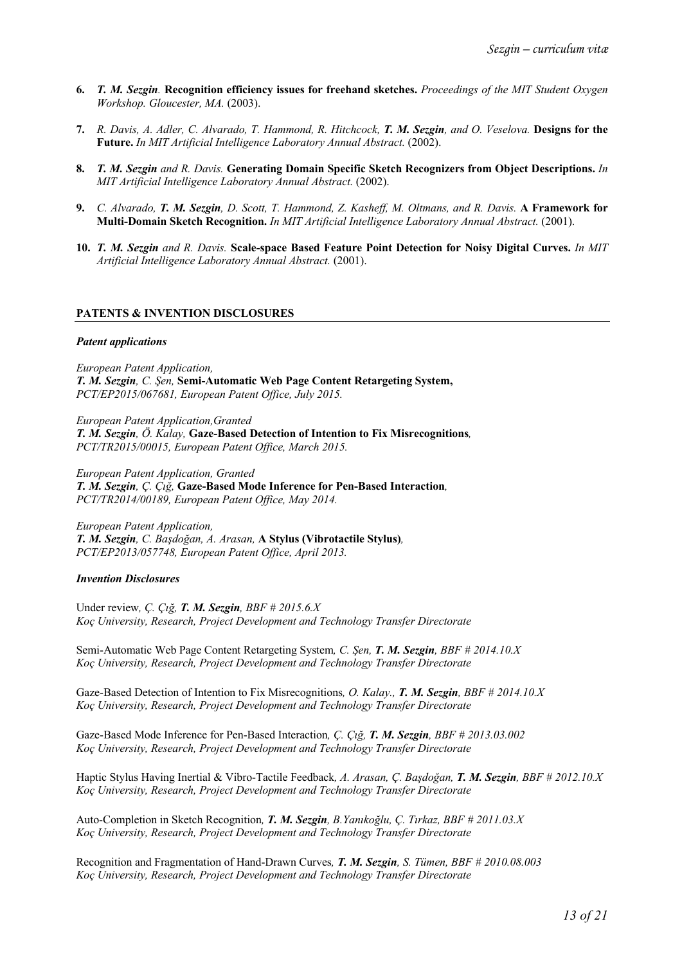- **6.** *T. M. Sezgin.* **Recognition efficiency issues for freehand sketches.** *Proceedings of the MIT Student Oxygen Workshop. Gloucester, MA.* (2003).
- **7.** *R. Davis, A. Adler, C. Alvarado, T. Hammond, R. Hitchcock, T. M. Sezgin, and O. Veselova.* **Designs for the Future.** *In MIT Artificial Intelligence Laboratory Annual Abstract.* (2002).
- **8.** *T. M. Sezgin and R. Davis.* **Generating Domain Specific Sketch Recognizers from Object Descriptions.** *In MIT Artificial Intelligence Laboratory Annual Abstract.* (2002).
- **9.** *C. Alvarado, T. M. Sezgin, D. Scott, T. Hammond, Z. Kasheff, M. Oltmans, and R. Davis.* **A Framework for Multi-Domain Sketch Recognition.** *In MIT Artificial Intelligence Laboratory Annual Abstract.* (2001).
- **10.** *T. M. Sezgin and R. Davis.* **Scale-space Based Feature Point Detection for Noisy Digital Curves.** *In MIT Artificial Intelligence Laboratory Annual Abstract.* (2001).

#### **PATENTS & INVENTION DISCLOSURES**

#### *Patent applications*

*European Patent Application, T. M. Sezgin, C. Şen,* **Semi-Automatic Web Page Content Retargeting System,** *PCT/EP2015/067681, European Patent Office, July 2015.*

*European Patent Application,Granted T. M. Sezgin, Ö. Kalay,* **Gaze-Based Detection of Intention to Fix Misrecognitions***, PCT/TR2015/00015, European Patent Office, March 2015.*

*European Patent Application, Granted T. M. Sezgin, Ç. Çığ,* **Gaze-Based Mode Inference for Pen-Based Interaction***, PCT/TR2014/00189, European Patent Office, May 2014.*

*European Patent Application, T. M. Sezgin, C. Başdoğan, A. Arasan,* **A Stylus (Vibrotactile Stylus)***, PCT/EP2013/057748, European Patent Office, April 2013.*

#### *Invention Disclosures*

Under review*, Ç. Çığ, T. M. Sezgin, BBF # 2015.6.X Koç University, Research, Project Development and Technology Transfer Directorate*

Semi-Automatic Web Page Content Retargeting System*, C. Şen, T. M. Sezgin, BBF # 2014.10.X Koç University, Research, Project Development and Technology Transfer Directorate*

Gaze-Based Detection of Intention to Fix Misrecognitions*, O. Kalay., T. M. Sezgin, BBF # 2014.10.X Koç University, Research, Project Development and Technology Transfer Directorate*

Gaze-Based Mode Inference for Pen-Based Interaction*, Ç. Çığ, T. M. Sezgin, BBF # 2013.03.002 Koç University, Research, Project Development and Technology Transfer Directorate*

Haptic Stylus Having Inertial & Vibro-Tactile Feedback*, A. Arasan, Ç. Başdoğan, T. M. Sezgin, BBF # 2012.10.X Koç University, Research, Project Development and Technology Transfer Directorate*

Auto-Completion in Sketch Recognition*, T. M. Sezgin, B.Yanıkoğlu, Ç. Tırkaz, BBF # 2011.03.X Koç University, Research, Project Development and Technology Transfer Directorate*

Recognition and Fragmentation of Hand-Drawn Curves*, T. M. Sezgin, S. Tümen, BBF # 2010.08.003 Koç University, Research, Project Development and Technology Transfer Directorate*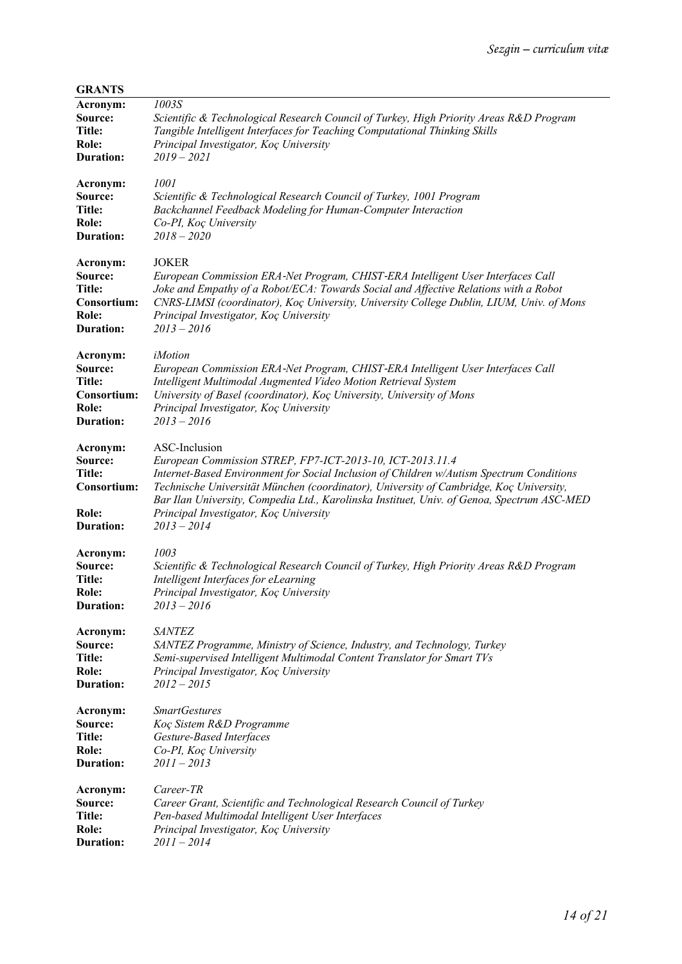| <b>GRANTS</b>                                                      |                                                                                                                                                                                                                                                                                                                                                                                                                           |
|--------------------------------------------------------------------|---------------------------------------------------------------------------------------------------------------------------------------------------------------------------------------------------------------------------------------------------------------------------------------------------------------------------------------------------------------------------------------------------------------------------|
| Acronym:                                                           | 1003S                                                                                                                                                                                                                                                                                                                                                                                                                     |
| Source:                                                            | Scientific & Technological Research Council of Turkey, High Priority Areas R&D Program                                                                                                                                                                                                                                                                                                                                    |
| Title:                                                             | Tangible Intelligent Interfaces for Teaching Computational Thinking Skills                                                                                                                                                                                                                                                                                                                                                |
| Role:                                                              | Principal Investigator, Koç University                                                                                                                                                                                                                                                                                                                                                                                    |
| <b>Duration:</b>                                                   | $2019 - 2021$                                                                                                                                                                                                                                                                                                                                                                                                             |
| Acronym:                                                           | 1001                                                                                                                                                                                                                                                                                                                                                                                                                      |
| Source:                                                            | Scientific & Technological Research Council of Turkey, 1001 Program                                                                                                                                                                                                                                                                                                                                                       |
| <b>Title:</b>                                                      | Backchannel Feedback Modeling for Human-Computer Interaction                                                                                                                                                                                                                                                                                                                                                              |
| Role:                                                              | Co-PI, Koç University                                                                                                                                                                                                                                                                                                                                                                                                     |
| <b>Duration:</b>                                                   | $2018 - 2020$                                                                                                                                                                                                                                                                                                                                                                                                             |
| Acronym:                                                           | <b>JOKER</b>                                                                                                                                                                                                                                                                                                                                                                                                              |
| Source:                                                            | European Commission ERA-Net Program, CHIST-ERA Intelligent User Interfaces Call                                                                                                                                                                                                                                                                                                                                           |
| Title:                                                             | Joke and Empathy of a Robot/ECA: Towards Social and Affective Relations with a Robot                                                                                                                                                                                                                                                                                                                                      |
| Consortium:                                                        | CNRS-LIMSI (coordinator), Koç University, University College Dublin, LIUM, Univ. of Mons                                                                                                                                                                                                                                                                                                                                  |
| Role:                                                              | Principal Investigator, Koç University                                                                                                                                                                                                                                                                                                                                                                                    |
| <b>Duration:</b>                                                   | $2013 - 2016$                                                                                                                                                                                                                                                                                                                                                                                                             |
| Acronym:                                                           | iMotion                                                                                                                                                                                                                                                                                                                                                                                                                   |
| Source:                                                            | European Commission ERA-Net Program, CHIST-ERA Intelligent User Interfaces Call                                                                                                                                                                                                                                                                                                                                           |
| Title:                                                             | Intelligent Multimodal Augmented Video Motion Retrieval System                                                                                                                                                                                                                                                                                                                                                            |
| Consortium:                                                        | University of Basel (coordinator), Koç University, University of Mons                                                                                                                                                                                                                                                                                                                                                     |
| Role:                                                              | Principal Investigator, Koç University                                                                                                                                                                                                                                                                                                                                                                                    |
| <b>Duration:</b>                                                   | $2013 - 2016$                                                                                                                                                                                                                                                                                                                                                                                                             |
| Acronym:<br>Source:<br>Title:<br>Consortium:<br>Role:<br>Duration: | ASC-Inclusion<br>European Commission STREP, FP7-ICT-2013-10, ICT-2013.11.4<br>Internet-Based Environment for Social Inclusion of Children w/Autism Spectrum Conditions<br>Technische Universität München (coordinator), University of Cambridge, Koç University,<br>Bar Ilan University, Compedia Ltd., Karolinska Instituet, Univ. of Genoa, Spectrum ASC-MED<br>Principal Investigator, Koç University<br>$2013 - 2014$ |
| Acronym:                                                           | 1003                                                                                                                                                                                                                                                                                                                                                                                                                      |
| Source:                                                            | Scientific & Technological Research Council of Turkey, High Priority Areas R&D Program                                                                                                                                                                                                                                                                                                                                    |
| <b>Title:</b>                                                      | Intelligent Interfaces for eLearning                                                                                                                                                                                                                                                                                                                                                                                      |
| Role:                                                              | Principal Investigator, Koç University                                                                                                                                                                                                                                                                                                                                                                                    |
| <b>Duration:</b>                                                   | $2013 - 2016$                                                                                                                                                                                                                                                                                                                                                                                                             |
| Acronym:                                                           | <b>SANTEZ</b>                                                                                                                                                                                                                                                                                                                                                                                                             |
| Source:                                                            | SANTEZ Programme, Ministry of Science, Industry, and Technology, Turkey                                                                                                                                                                                                                                                                                                                                                   |
| Title:                                                             | Semi-supervised Intelligent Multimodal Content Translator for Smart TVs                                                                                                                                                                                                                                                                                                                                                   |
| Role:                                                              | Principal Investigator, Koç University                                                                                                                                                                                                                                                                                                                                                                                    |
| <b>Duration:</b>                                                   | $2012 - 2015$                                                                                                                                                                                                                                                                                                                                                                                                             |
| Acronym:                                                           | <b>SmartGestures</b>                                                                                                                                                                                                                                                                                                                                                                                                      |
| Source:                                                            | Koç Sistem R&D Programme                                                                                                                                                                                                                                                                                                                                                                                                  |
| Title:                                                             | Gesture-Based Interfaces                                                                                                                                                                                                                                                                                                                                                                                                  |
| Role:                                                              | Co-PI, Koç University                                                                                                                                                                                                                                                                                                                                                                                                     |
| Duration:                                                          | $2011 - 2013$                                                                                                                                                                                                                                                                                                                                                                                                             |
| Acronym:                                                           | Career-TR                                                                                                                                                                                                                                                                                                                                                                                                                 |
| Source:                                                            | Career Grant, Scientific and Technological Research Council of Turkey                                                                                                                                                                                                                                                                                                                                                     |
| Title:                                                             | Pen-based Multimodal Intelligent User Interfaces                                                                                                                                                                                                                                                                                                                                                                          |
| Role:                                                              | Principal Investigator, Koç University                                                                                                                                                                                                                                                                                                                                                                                    |
| <b>Duration:</b>                                                   | $2011 - 2014$                                                                                                                                                                                                                                                                                                                                                                                                             |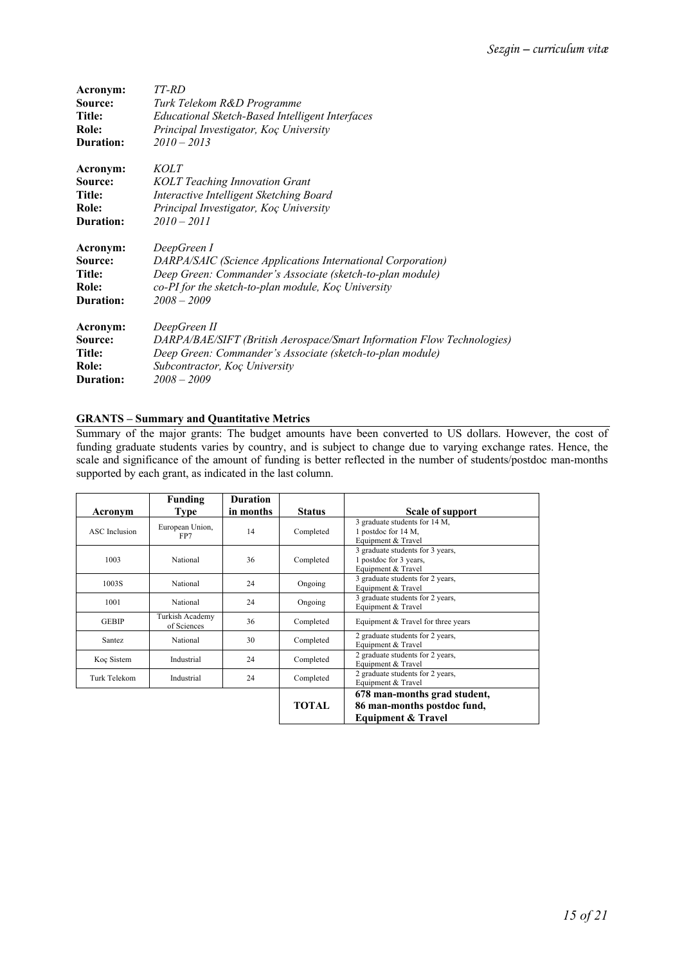| Acronym:         | TT-RD                                                                  |
|------------------|------------------------------------------------------------------------|
| Source:          | Turk Telekom R&D Programme                                             |
| Title:           | <b>Educational Sketch-Based Intelligent Interfaces</b>                 |
| Role:            | Principal Investigator, Koç University                                 |
| <b>Duration:</b> | $2010 - 2013$                                                          |
| Acronym:         | <i>KOLT</i>                                                            |
| Source:          | <b>KOLT</b> Teaching Innovation Grant                                  |
| Title:           | Interactive Intelligent Sketching Board                                |
| Role:            | Principal Investigator, Koç University                                 |
| <b>Duration:</b> | $2010 - 2011$                                                          |
| Acronym:         | DeepGreen I                                                            |
| Source:          | DARPA/SAIC (Science Applications International Corporation)            |
| Title:           | Deep Green: Commander's Associate (sketch-to-plan module)              |
| Role:            | co-PI for the sketch-to-plan module, Koç University                    |
| <b>Duration:</b> | $2008 - 2009$                                                          |
| Acronym:         | DeepGreen II                                                           |
| Source:          | DARPA/BAE/SIFT (British Aerospace/Smart Information Flow Technologies) |
| Title:           | Deep Green: Commander's Associate (sketch-to-plan module)              |
| Role:            | Subcontractor, Koç University                                          |
| <b>Duration:</b> | $2008 - 2009$                                                          |

# **GRANTS – Summary and Quantitative Metrics**

Summary of the major grants: The budget amounts have been converted to US dollars. However, the cost of funding graduate students varies by country, and is subject to change due to varying exchange rates. Hence, the scale and significance of the amount of funding is better reflected in the number of students/postdoc man-months supported by each grant, as indicated in the last column.

| Acronym       | Funding<br><b>Type</b>         | <b>Duration</b><br>in months | <b>Status</b>                                                                                 | Scale of support                                                           |
|---------------|--------------------------------|------------------------------|-----------------------------------------------------------------------------------------------|----------------------------------------------------------------------------|
| ASC Inclusion | European Union,<br>FP7         | 14                           | Completed                                                                                     | 3 graduate students for 14 M,<br>1 postdoc for 14 M,<br>Equipment & Travel |
| 1003          | National                       | 36                           | 3 graduate students for 3 years,<br>1 postdoc for 3 years,<br>Completed<br>Equipment & Travel |                                                                            |
| 1003S         | National                       | 24                           | Ongoing                                                                                       | 3 graduate students for 2 years,<br>Equipment & Travel                     |
| 1001          | National                       | 24                           | Ongoing                                                                                       | 3 graduate students for 2 years,<br>Equipment & Travel                     |
| <b>GEBIP</b>  | Turkish Academy<br>of Sciences | 36                           | Completed                                                                                     | Equipment & Travel for three years                                         |
| Santez        | National                       | 30                           | Completed                                                                                     | 2 graduate students for 2 years,<br>Equipment & Travel                     |
| Koç Sistem    | Industrial                     | 24                           | Completed                                                                                     | 2 graduate students for 2 years,<br>Equipment & Travel                     |
| Turk Telekom  | Industrial                     | 24                           | Completed                                                                                     | 2 graduate students for 2 years,<br>Equipment & Travel                     |
|               |                                |                              | TOTAL                                                                                         | 678 man-months grad student,<br>86 man-months postdoc fund,                |
|               |                                |                              |                                                                                               | <b>Equipment &amp; Travel</b>                                              |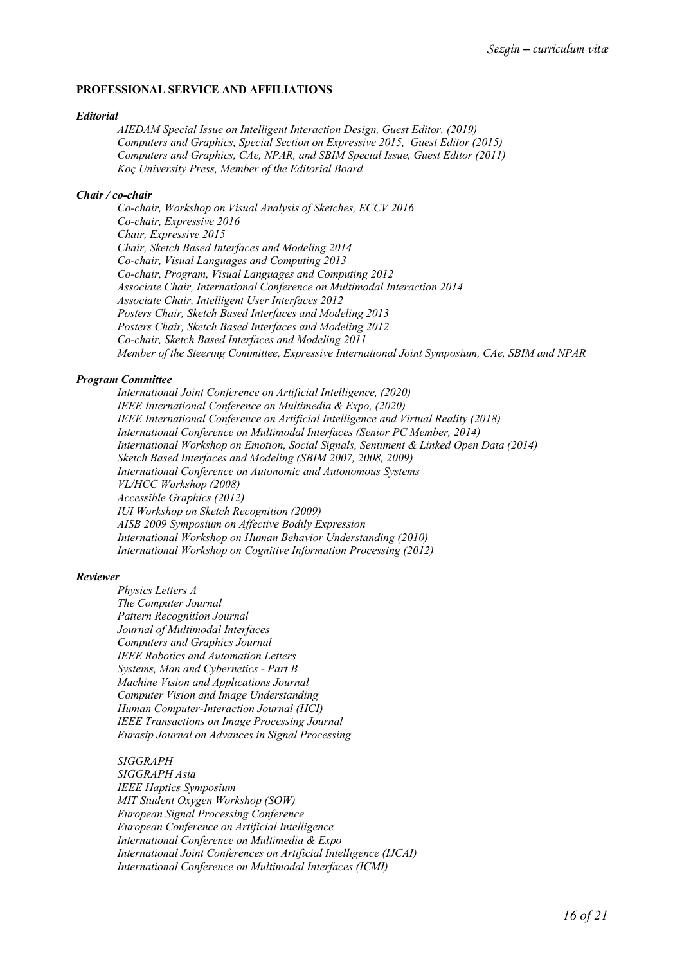### **PROFESSIONAL SERVICE AND AFFILIATIONS**

#### *Editorial*

*AIEDAM Special Issue on Intelligent Interaction Design, Guest Editor, (2019) Computers and Graphics, Special Section on Expressive 2015, Guest Editor (2015) Computers and Graphics, CAe, NPAR, and SBIM Special Issue, Guest Editor (2011) Koç University Press, Member of the Editorial Board*

#### *Chair / co-chair*

*Co-chair, Workshop on Visual Analysis of Sketches, ECCV 2016 Co-chair, Expressive 2016 Chair, Expressive 2015 Chair, Sketch Based Interfaces and Modeling 2014 Co-chair, Visual Languages and Computing 2013 Co-chair, Program, Visual Languages and Computing 2012 Associate Chair, International Conference on Multimodal Interaction 2014 Associate Chair, Intelligent User Interfaces 2012 Posters Chair, Sketch Based Interfaces and Modeling 2013 Posters Chair, Sketch Based Interfaces and Modeling 2012 Co-chair, Sketch Based Interfaces and Modeling 2011 Member of the Steering Committee, Expressive International Joint Symposium, CAe, SBIM and NPAR* 

#### *Program Committee*

*International Joint Conference on Artificial Intelligence, (2020) IEEE International Conference on Multimedia & Expo, (2020) IEEE International Conference on Artificial Intelligence and Virtual Reality (2018) International Conference on Multimodal Interfaces (Senior PC Member, 2014) International Workshop on Emotion, Social Signals, Sentiment & Linked Open Data (2014) Sketch Based Interfaces and Modeling (SBIM 2007, 2008, 2009) International Conference on Autonomic and Autonomous Systems VL/HCC Workshop (2008) Accessible Graphics (2012) IUI Workshop on Sketch Recognition (2009) AISB 2009 Symposium on Affective Bodily Expression International Workshop on Human Behavior Understanding (2010) International Workshop on Cognitive Information Processing (2012)*

#### *Reviewer*

*Physics Letters A The Computer Journal Pattern Recognition Journal Journal of Multimodal Interfaces Computers and Graphics Journal IEEE Robotics and Automation Letters Systems, Man and Cybernetics - Part B Machine Vision and Applications Journal Computer Vision and Image Understanding Human Computer-Interaction Journal (HCI) IEEE Transactions on Image Processing Journal Eurasip Journal on Advances in Signal Processing*

*SIGGRAPH SIGGRAPH Asia IEEE Haptics Symposium MIT Student Oxygen Workshop (SOW) European Signal Processing Conference European Conference on Artificial Intelligence International Conference on Multimedia & Expo International Joint Conferences on Artificial Intelligence (IJCAI) International Conference on Multimodal Interfaces (ICMI)*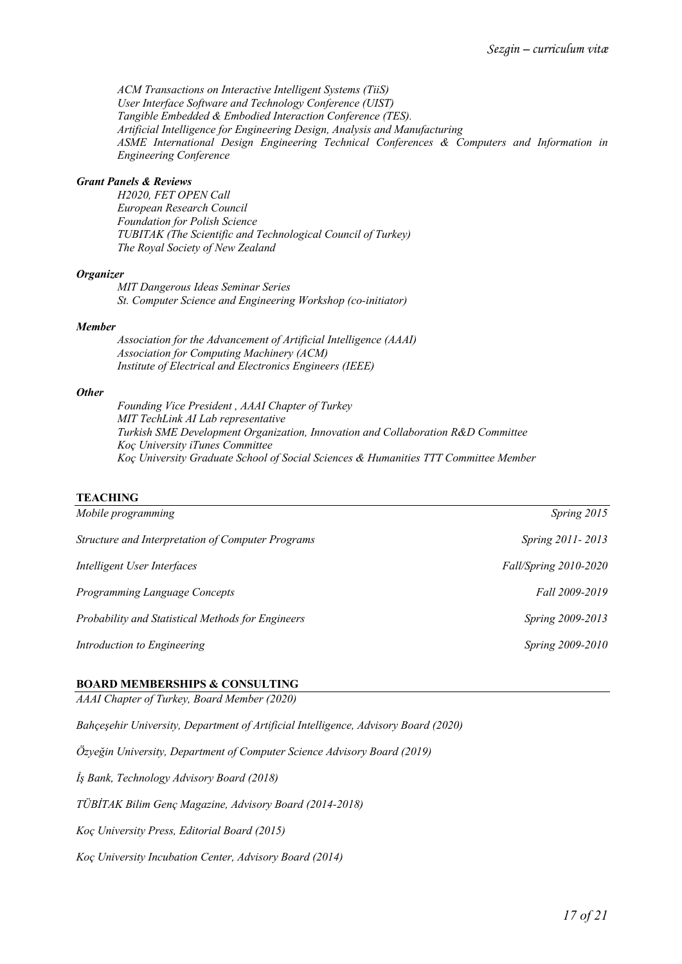*ACM Transactions on Interactive Intelligent Systems (TiiS) User Interface Software and Technology Conference (UIST) Tangible Embedded & Embodied Interaction Conference (TES). Artificial Intelligence for Engineering Design, Analysis and Manufacturing ASME International Design Engineering Technical Conferences & Computers and Information in Engineering Conference*

#### *Grant Panels & Reviews*

*H2020, FET OPEN Call European Research Council Foundation for Polish Science TUBITAK (The Scientific and Technological Council of Turkey) The Royal Society of New Zealand*

#### *Organizer*

*MIT Dangerous Ideas Seminar Series St. Computer Science and Engineering Workshop (co-initiator)*

#### *Member*

*Association for the Advancement of Artificial Intelligence (AAAI) Association for Computing Machinery (ACM) Institute of Electrical and Electronics Engineers (IEEE)*

#### *Other*

*Founding Vice President , AAAI Chapter of Turkey MIT TechLink AI Lab representative Turkish SME Development Organization, Innovation and Collaboration R&D Committee Koç University iTunes Committee Koç University Graduate School of Social Sciences & Humanities TTT Committee Member*

### **TEACHING**

| Mobile programming                                | Spring 2015           |
|---------------------------------------------------|-----------------------|
| Structure and Interpretation of Computer Programs | Spring 2011-2013      |
| Intelligent User Interfaces                       | Fall/Spring 2010-2020 |
| Programming Language Concepts                     | Fall 2009-2019        |
| Probability and Statistical Methods for Engineers | Spring 2009-2013      |
| Introduction to Engineering                       | Spring 2009-2010      |
|                                                   |                       |

# **BOARD MEMBERSHIPS & CONSULTING**

*AAAI Chapter of Turkey, Board Member (2020)*

*Bahçeşehir University, Department of Artificial Intelligence, Advisory Board (2020)* 

*Özyeğin University, Department of Computer Science Advisory Board (2019)* 

*İş Bank, Technology Advisory Board (2018)*

*TÜBİTAK Bilim Genç Magazine, Advisory Board (2014-2018)*

*Koç University Press, Editorial Board (2015)*

*Koç University Incubation Center, Advisory Board (2014)*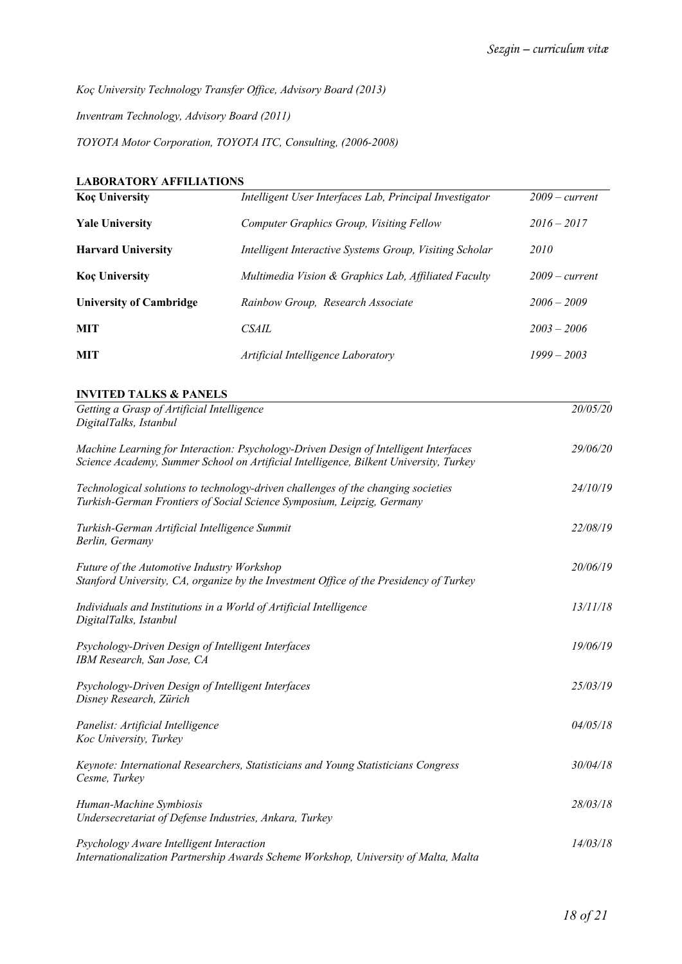*Koç University Technology Transfer Office, Advisory Board (2013)*

*Inventram Technology, Advisory Board (2011)*

*TOYOTA Motor Corporation, TOYOTA ITC, Consulting, (2006-2008)*

# **LABORATORY AFFILIATIONS**

| <b>Koç University</b>          | Intelligent User Interfaces Lab, Principal Investigator | $2009$ – current |
|--------------------------------|---------------------------------------------------------|------------------|
| <b>Yale University</b>         | Computer Graphics Group, Visiting Fellow                | $2016 - 2017$    |
| <b>Harvard University</b>      | Intelligent Interactive Systems Group, Visiting Scholar | 2010             |
| <b>Koc University</b>          | Multimedia Vision & Graphics Lab, Affiliated Faculty    | $2009$ – current |
| <b>University of Cambridge</b> | Rainbow Group, Research Associate                       | $2006 - 2009$    |
| MIT                            | <i>CSAIL</i>                                            | $2003 - 2006$    |
| <b>MIT</b>                     | Artificial Intelligence Laboratory                      | $1999 - 2003$    |

## **INVITED TALKS & PANELS**

| Getting a Grasp of Artificial Intelligence                                                                                                                                    | 20/05/20 |
|-------------------------------------------------------------------------------------------------------------------------------------------------------------------------------|----------|
| DigitalTalks, Istanbul                                                                                                                                                        |          |
| Machine Learning for Interaction: Psychology-Driven Design of Intelligent Interfaces<br>Science Academy, Summer School on Artificial Intelligence, Bilkent University, Turkey | 29/06/20 |
| Technological solutions to technology-driven challenges of the changing societies<br>Turkish-German Frontiers of Social Science Symposium, Leipzig, Germany                   | 24/10/19 |
| Turkish-German Artificial Intelligence Summit<br>Berlin, Germany                                                                                                              | 22/08/19 |
| Future of the Automotive Industry Workshop<br>Stanford University, CA, organize by the Investment Office of the Presidency of Turkey                                          | 20/06/19 |
| Individuals and Institutions in a World of Artificial Intelligence<br>DigitalTalks, Istanbul                                                                                  | 13/11/18 |
| Psychology-Driven Design of Intelligent Interfaces<br>IBM Research, San Jose, CA                                                                                              | 19/06/19 |
| Psychology-Driven Design of Intelligent Interfaces<br>Disney Research, Zürich                                                                                                 | 25/03/19 |
| Panelist: Artificial Intelligence<br>Koc University, Turkey                                                                                                                   | 04/05/18 |
| Keynote: International Researchers, Statisticians and Young Statisticians Congress<br>Cesme, Turkey                                                                           | 30/04/18 |
| Human-Machine Symbiosis<br>Undersecretariat of Defense Industries, Ankara, Turkey                                                                                             | 28/03/18 |
| Psychology Aware Intelligent Interaction<br>Internationalization Partnership Awards Scheme Workshop, University of Malta, Malta                                               | 14/03/18 |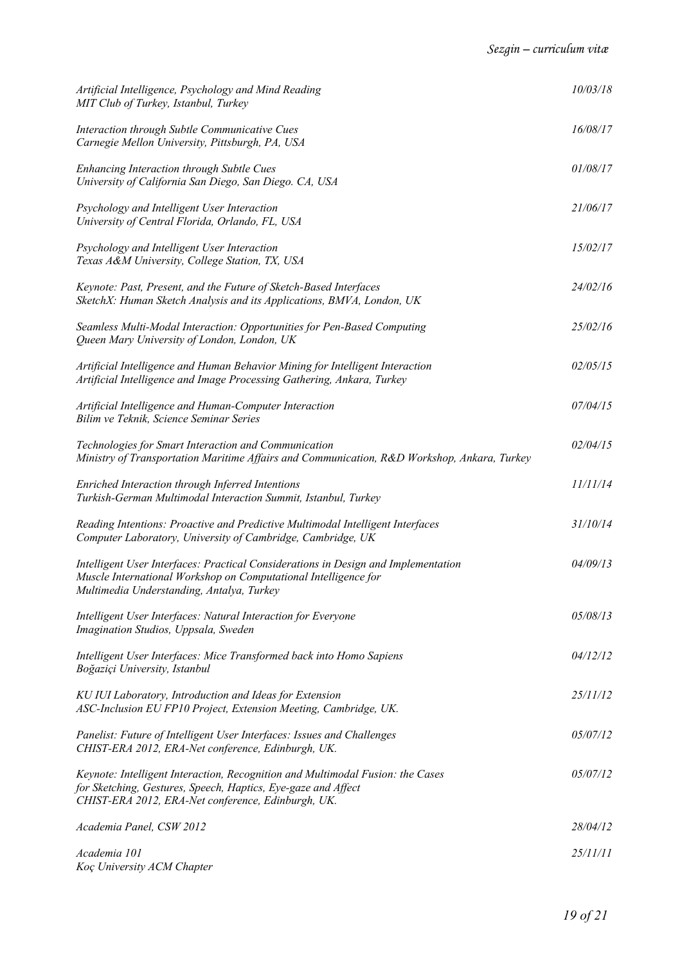| Artificial Intelligence, Psychology and Mind Reading<br>MIT Club of Turkey, Istanbul, Turkey                                                                                                          | 10/03/18 |
|-------------------------------------------------------------------------------------------------------------------------------------------------------------------------------------------------------|----------|
| Interaction through Subtle Communicative Cues<br>Carnegie Mellon University, Pittsburgh, PA, USA                                                                                                      | 16/08/17 |
| Enhancing Interaction through Subtle Cues<br>University of California San Diego, San Diego. CA, USA                                                                                                   | 01/08/17 |
| Psychology and Intelligent User Interaction<br>University of Central Florida, Orlando, FL, USA                                                                                                        | 21/06/17 |
| Psychology and Intelligent User Interaction<br>Texas A&M University, College Station, TX, USA                                                                                                         | 15/02/17 |
| Keynote: Past, Present, and the Future of Sketch-Based Interfaces<br>SketchX: Human Sketch Analysis and its Applications, BMVA, London, UK                                                            | 24/02/16 |
| Seamless Multi-Modal Interaction: Opportunities for Pen-Based Computing<br>Queen Mary University of London, London, UK                                                                                | 25/02/16 |
| Artificial Intelligence and Human Behavior Mining for Intelligent Interaction<br>Artificial Intelligence and Image Processing Gathering, Ankara, Turkey                                               | 02/05/15 |
| Artificial Intelligence and Human-Computer Interaction<br>Bilim ve Teknik, Science Seminar Series                                                                                                     | 07/04/15 |
| Technologies for Smart Interaction and Communication<br>Ministry of Transportation Maritime Affairs and Communication, R&D Workshop, Ankara, Turkey                                                   | 02/04/15 |
| Enriched Interaction through Inferred Intentions<br>Turkish-German Multimodal Interaction Summit, Istanbul, Turkey                                                                                    | 11/11/14 |
| Reading Intentions: Proactive and Predictive Multimodal Intelligent Interfaces<br>Computer Laboratory, University of Cambridge, Cambridge, UK                                                         | 31/10/14 |
| Intelligent User Interfaces: Practical Considerations in Design and Implementation<br>Muscle International Workshop on Computational Intelligence for<br>Multimedia Understanding, Antalya, Turkey    | 04/09/13 |
| Intelligent User Interfaces: Natural Interaction for Everyone<br>Imagination Studios, Uppsala, Sweden                                                                                                 | 05/08/13 |
| Intelligent User Interfaces: Mice Transformed back into Homo Sapiens<br>Boğaziçi University, Istanbul                                                                                                 | 04/12/12 |
| KU IUI Laboratory, Introduction and Ideas for Extension<br>ASC-Inclusion EU FP10 Project, Extension Meeting, Cambridge, UK.                                                                           | 25/11/12 |
| Panelist: Future of Intelligent User Interfaces: Issues and Challenges<br>CHIST-ERA 2012, ERA-Net conference, Edinburgh, UK.                                                                          | 05/07/12 |
| Keynote: Intelligent Interaction, Recognition and Multimodal Fusion: the Cases<br>for Sketching, Gestures, Speech, Haptics, Eye-gaze and Affect<br>CHIST-ERA 2012, ERA-Net conference, Edinburgh, UK. | 05/07/12 |
| Academia Panel, CSW 2012                                                                                                                                                                              | 28/04/12 |
| Academia 101<br>Koç University ACM Chapter                                                                                                                                                            | 25/11/11 |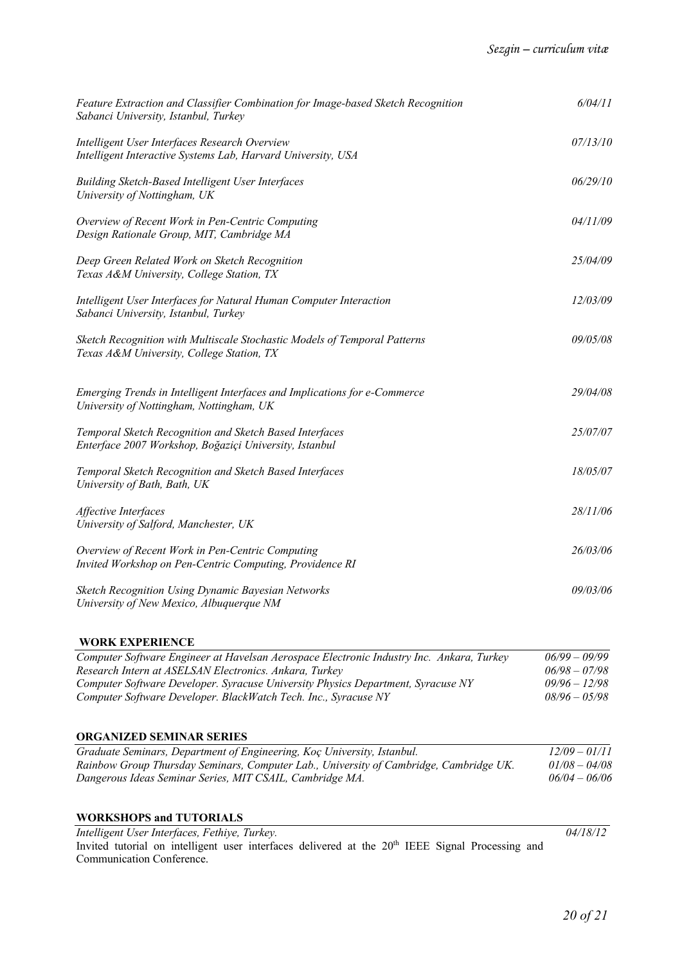| Feature Extraction and Classifier Combination for Image-based Sketch Recognition<br>Sabanci University, Istanbul, Turkey | 6/04/11  |
|--------------------------------------------------------------------------------------------------------------------------|----------|
| Intelligent User Interfaces Research Overview<br>Intelligent Interactive Systems Lab, Harvard University, USA            | 07/13/10 |
| Building Sketch-Based Intelligent User Interfaces<br>University of Nottingham, UK                                        | 06/29/10 |
| Overview of Recent Work in Pen-Centric Computing<br>Design Rationale Group, MIT, Cambridge MA                            | 04/11/09 |
| Deep Green Related Work on Sketch Recognition<br>Texas A&M University, College Station, TX                               | 25/04/09 |
| Intelligent User Interfaces for Natural Human Computer Interaction<br>Sabanci University, Istanbul, Turkey               | 12/03/09 |
| Sketch Recognition with Multiscale Stochastic Models of Temporal Patterns<br>Texas A&M University, College Station, TX   | 09/05/08 |
| Emerging Trends in Intelligent Interfaces and Implications for e-Commerce<br>University of Nottingham, Nottingham, UK    | 29/04/08 |
| Temporal Sketch Recognition and Sketch Based Interfaces<br>Enterface 2007 Workshop, Boğaziçi University, Istanbul        | 25/07/07 |
| Temporal Sketch Recognition and Sketch Based Interfaces<br>University of Bath, Bath, UK                                  | 18/05/07 |
| Affective Interfaces<br>University of Salford, Manchester, UK                                                            | 28/11/06 |
| Overview of Recent Work in Pen-Centric Computing<br>Invited Workshop on Pen-Centric Computing, Providence RI             | 26/03/06 |
| Sketch Recognition Using Dynamic Bayesian Networks<br>University of New Mexico, Albuquerque NM                           | 09/03/06 |

# **WORK EXPERIENCE**

| Computer Software Engineer at Havelsan Aerospace Electronic Industry Inc. Ankara, Turkey | $06/99 - 09/99$ |
|------------------------------------------------------------------------------------------|-----------------|
| Research Intern at ASELSAN Electronics. Ankara, Turkey                                   | $06/98 - 07/98$ |
| Computer Software Developer. Syracuse University Physics Department, Syracuse NY         | $09/96 - 12/98$ |
| Computer Software Developer. BlackWatch Tech. Inc., Syracuse NY                          | $08/96 - 05/98$ |

### **ORGANIZED SEMINAR SERIES**

| Graduate Seminars, Department of Engineering, Koç University, Istanbul.                | $12/09 - 01/11$ |
|----------------------------------------------------------------------------------------|-----------------|
| Rainbow Group Thursday Seminars, Computer Lab., University of Cambridge, Cambridge UK. | $01/08 - 04/08$ |
| Dangerous Ideas Seminar Series, MIT CSAIL, Cambridge MA.                               | $06/04 - 06/06$ |

## **WORKSHOPS and TUTORIALS**

*Intelligent User Interfaces, Fethiye, Turkey. 04/18/12* Invited tutorial on intelligent user interfaces delivered at the 20<sup>th</sup> IEEE Signal Processing and Communication Conference.